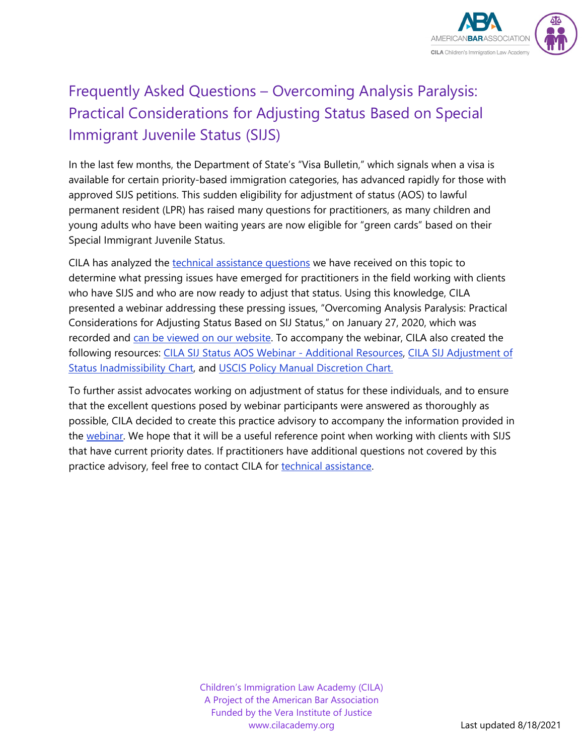

# <span id="page-0-0"></span>Frequently Asked Questions – Overcoming Analysis Paralysis: Practical Considerations for Adjusting Status Based on Special Immigrant Juvenile Status (SIJS)

In the last few months, the Department of State's "Visa Bulletin," which signals when a visa is available for certain priority-based immigration categories, has advanced rapidly for those with approved SIJS petitions. This sudden eligibility for adjustment of status (AOS) to lawful permanent resident (LPR) has raised many questions for practitioners, as many children and young adults who have been waiting years are now eligible for "green cards" based on their Special Immigrant Juvenile Status.

CILA has analyzed the [technical assistance questions](https://cilacademy.org/request-assistance/) we have received on this topic to determine what pressing issues have emerged for practitioners in the field working with clients who have SIJS and who are now ready to adjust that status. Using this knowledge, CILA presented a webinar addressing these pressing issues, "Overcoming Analysis Paralysis: Practical Considerations for Adjusting Status Based on SIJ Status," on January 27, 2020, which was recorded and [can be viewed on our website.](https://cilacademy.org/trainings/webinars/) To accompany the webinar, CILA also created the following resources: CILA SIJ Status AOS Webinar - [Additional Resources,](https://cilacademy.org/wp-content/uploads/2021/02/CILA-SIJS-AOS-Webinar-Additional-Resources.pdf) [CILA SIJ Adjustment of](https://cilacademy.org/wp-content/uploads/2021/02/CILA-SIJS-Adjustment-of-Status-Inadmissibility-Chart.pdf)  [Status Inadmissibility Chart,](https://cilacademy.org/wp-content/uploads/2021/02/CILA-SIJS-Adjustment-of-Status-Inadmissibility-Chart.pdf) and [USCIS Policy Manual Discretion Chart.](https://cilacademy.org/wp-content/uploads/2021/02/USCIS-Policy-Manual-Discretion-Chart.pdf)

To further assist advocates working on adjustment of status for these individuals, and to ensure that the excellent questions posed by webinar participants were answered as thoroughly as possible, CILA decided to create this practice advisory to accompany the information provided in the [webinar.](https://cilacademy.org/trainings/webinars/) We hope that it will be a useful reference point when working with clients with SIJS that have current priority dates. If practitioners have additional questions not covered by this practice advisory, feel free to contact CILA for [technical assistance.](https://cilacademy.org/request-assistance/)

> Children's Immigration Law Academy (CILA) A Project of the American Bar Association Funded by the Vera Institute of Justice www.cilacademy.org Last updated 8/18/2021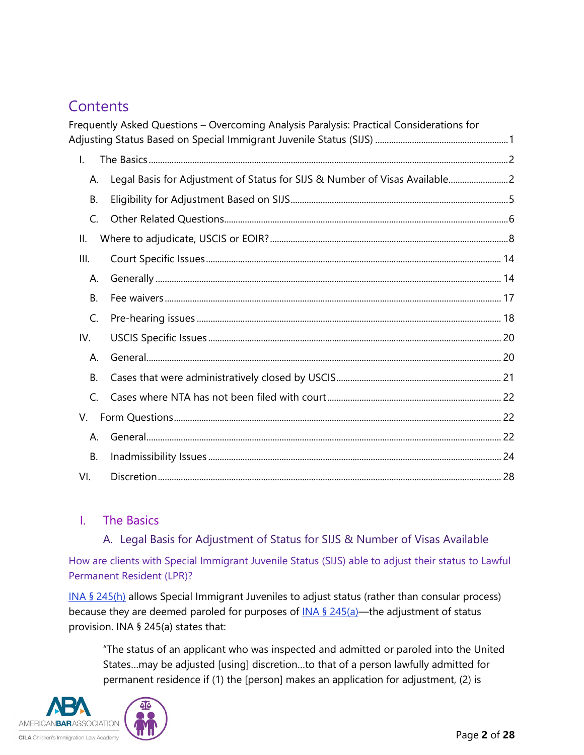# **Contents**

|                | Frequently Asked Questions - Overcoming Analysis Paralysis: Practical Considerations for |  |
|----------------|------------------------------------------------------------------------------------------|--|
|                |                                                                                          |  |
| $\mathsf{L}$   |                                                                                          |  |
| А.             | Legal Basis for Adjustment of Status for SIJS & Number of Visas Available2               |  |
| <b>B.</b>      |                                                                                          |  |
| C.             |                                                                                          |  |
| Ш.             |                                                                                          |  |
| III.           |                                                                                          |  |
| А.             |                                                                                          |  |
| <b>B.</b>      |                                                                                          |  |
| $\mathsf{C}$ . |                                                                                          |  |
| IV.            |                                                                                          |  |
| А.             |                                                                                          |  |
| <b>B.</b>      |                                                                                          |  |
| C.             |                                                                                          |  |
| V.             |                                                                                          |  |
| А.             |                                                                                          |  |
| <b>B.</b>      |                                                                                          |  |
| VI.            |                                                                                          |  |

# <span id="page-1-1"></span><span id="page-1-0"></span>I. The Basics

A. Legal Basis for Adjustment of Status for SIJS & Number of Visas Available

How are clients with Special Immigrant Juvenile Status (SIJS) able to adjust their status to Lawful Permanent Resident (LPR)?

[INA § 245\(h\)](https://uscode.house.gov/view.xhtml?req=granuleid:USC-prelim-title8-section1255&num=0&edition=prelim) allows Special Immigrant Juveniles to adjust status (rather than consular process) because they are deemed paroled for purposes of  $INA \$ § [245\(a\)—](https://uscode.house.gov/view.xhtml?req=granuleid:USC-prelim-title8-section1255&num=0&edition=prelim)the adjustment of status provision. INA § 245(a) states that:

"The status of an applicant who was inspected and admitted or paroled into the United States…may be adjusted [using] discretion…to that of a person lawfully admitted for permanent residence if (1) the [person] makes an application for adjustment, (2) is

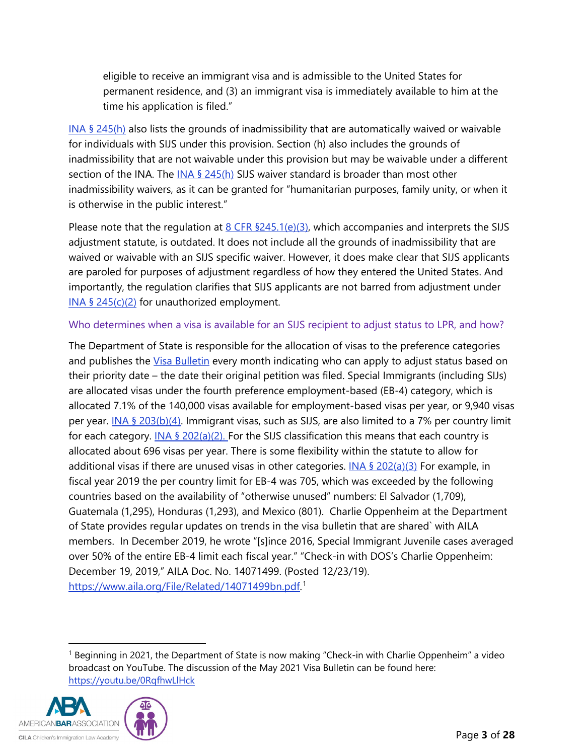eligible to receive an immigrant visa and is admissible to the United States for permanent residence, and (3) an immigrant visa is immediately available to him at the time his application is filed."

INA  $\S$  245(h) also lists the grounds of inadmissibility that are automatically waived or waivable for individuals with SIJS under this provision. Section (h) also includes the grounds of inadmissibility that are not waivable under this provision but may be waivable under a different section of the INA. The [INA § 245\(h\)](https://uscode.house.gov/view.xhtml?req=granuleid:USC-prelim-title8-section1255&num=0&edition=prelim) SIJS waiver standard is broader than most other inadmissibility waivers, as it can be granted for "humanitarian purposes, family unity, or when it is otherwise in the public interest."

Please note that the regulation at  $8$  CFR  $$245.1(e)(3)$ , which accompanies and interprets the SIJS adjustment statute, is outdated. It does not include all the grounds of inadmissibility that are waived or waivable with an SIJS specific waiver. However, it does make clear that SIJS applicants are paroled for purposes of adjustment regardless of how they entered the United States. And importantly, the regulation clarifies that SIJS applicants are not barred from adjustment under INA § [245\(c\)\(2\)](https://uscode.house.gov/view.xhtml?req=granuleid:USC-prelim-title8-section1255&num=0&edition=prelim) for unauthorized employment.

#### Who determines when a visa is available for an SIJS recipient to adjust status to LPR, and how?

The Department of State is responsible for the allocation of visas to the preference categories and publishes the *Visa Bulletin* every month indicating who can apply to adjust status based on their priority date – the date their original petition was filed. Special Immigrants (including SIJs) are allocated visas under the fourth preference employment-based (EB-4) category, which is allocated 7.1% of the 140,000 visas available for employment-based visas per year, or 9,940 visas per year. INA § [203\(b\)\(4\).](https://uscode.house.gov/view.xhtml?req=granuleid:USC-prelim-title8-section1153&num=0&edition=prelim) Immigrant visas, such as SIJS, are also limited to a 7% per country limit for each category. INA § [202\(a\)\(2\).](https://uscode.house.gov/view.xhtml?req=granuleid:USC-prelim-title8-section1152&num=0&edition=prelim) For the SIJS classification this means that each country is allocated about 696 visas per year. There is some flexibility within the statute to allow for additional visas if there are unused visas in other categories. INA  $\frac{6}{5}$  [202\(a\)\(3\)](https://uscode.house.gov/view.xhtml?req=granuleid:USC-prelim-title8-section1152&num=0&edition=prelim) For example, in fiscal year 2019 the per country limit for EB-4 was 705, which was exceeded by the following countries based on the availability of "otherwise unused" numbers: El Salvador (1,709), Guatemala (1,295), Honduras (1,293), and Mexico (801). Charlie Oppenheim at the Department of State provides regular updates on trends in the visa bulletin that are shared` with AILA members. In December 2019, he wrote "[s]ince 2016, Special Immigrant Juvenile cases averaged over 50% of the entire EB-4 limit each fiscal year." "Check-in with DOS's Charlie Oppenheim: December 19, 2019," AILA Doc. No. 14071499. (Posted 12/23/19). [https://www.aila.org/File/Related/14071499bn.pdf.](https://www.aila.org/File/Related/14071499bn.pdf) [1](#page-2-0)

<span id="page-2-0"></span><sup>&</sup>lt;sup>1</sup> Beginning in 2021, the Department of State is now making "Check-in with Charlie Oppenheim" a video broadcast on YouTube. The discussion of the May 2021 Visa Bulletin can be found here: <https://youtu.be/0RqfhwLlHck>

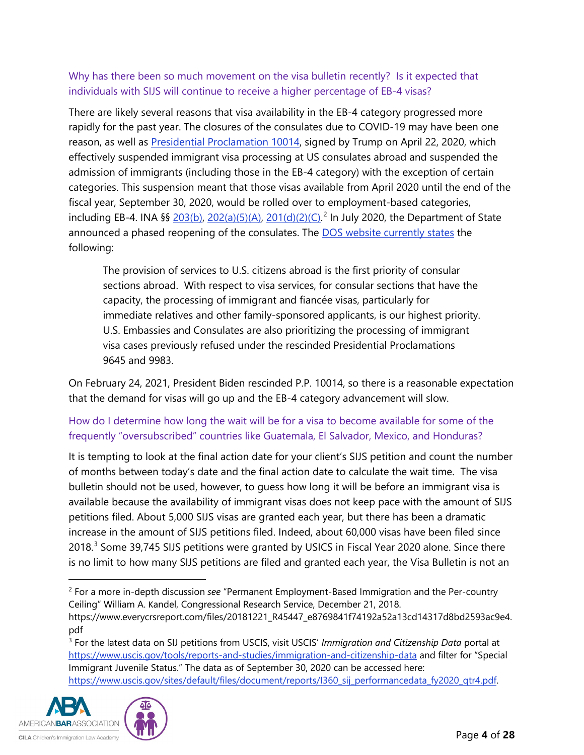### Why has there been so much movement on the visa bulletin recently? Is it expected that individuals with SIJS will continue to receive a higher percentage of EB-4 visas?

There are likely several reasons that visa availability in the EB-4 category progressed more rapidly for the past year. The closures of the consulates due to COVID-19 may have been one reason, as well as [Presidential Proclamation 10014,](https://www.federalregister.gov/documents/2020/04/27/2020-09068/suspension-of-entry-of-immigrants-who-present-a-risk-to-the-united-states-labor-market-during-the) signed by Trump on April 22, 2020, which effectively suspended immigrant visa processing at US consulates abroad and suspended the admission of immigrants (including those in the EB-4 category) with the exception of certain categories. This suspension meant that those visas available from April 2020 until the end of the fiscal year, September 30, 2020, would be rolled over to employment-based categories, including EB-4. INA §§ [203\(b\),](https://uscode.house.gov/view.xhtml?req=granuleid:USC-prelim-title8-section1153&num=0&edition=prelim) [202\(a\)\(5\)\(A\),](https://uscode.house.gov/view.xhtml?req=granuleid:USC-prelim-title8-section1152&num=0&edition=prelim) [201\(d\)\(2\)\(C\).](https://uscode.house.gov/view.xhtml?hl=false&edition=prelim&req=granuleid%3AUSC-prelim-title8-section1151&num=0&saved=%7CZ3JhbnVsZWlkOlVTQy1wcmVsaW0tdGl0bGU4LXNlY3Rpb24xMTUy%7C%7C%7C0%7Cfalse%7Cprelim)<sup>[2](#page-3-0)</sup> In July 2020, the Department of State announced a phased reopening of the consulates. The [DOS website currently states](https://travel.state.gov/content/travel/en/News/visas-news/visa-services-operating-status-update.html) the following:

The provision of services to U.S. citizens abroad is the first priority of consular sections abroad. With respect to visa services, for consular sections that have the capacity, the processing of immigrant and fiancée visas, particularly for immediate relatives and other family-sponsored applicants, is our highest priority. U.S. Embassies and Consulates are also prioritizing the processing of immigrant visa cases previously refused under the rescinded Presidential Proclamations 9645 and 9983.

On February 24, 2021, President Biden rescinded P.P. 10014, so there is a reasonable expectation that the demand for visas will go up and the EB-4 category advancement will slow.

### How do I determine how long the wait will be for a visa to become available for some of the frequently "oversubscribed" countries like Guatemala, El Salvador, Mexico, and Honduras?

It is tempting to look at the final action date for your client's SIJS petition and count the number of months between today's date and the final action date to calculate the wait time. The visa bulletin should not be used, however, to guess how long it will be before an immigrant visa is available because the availability of immigrant visas does not keep pace with the amount of SIJS petitions filed. About 5,000 SIJS visas are granted each year, but there has been a dramatic increase in the amount of SIJS petitions filed. Indeed, about 60,000 visas have been filed since 2018.<sup>[3](#page-3-1)</sup> Some 39,745 SIJS petitions were granted by USICS in Fiscal Year 2020 alone. Since there is no limit to how many SIJS petitions are filed and granted each year, the Visa Bulletin is not an

<span id="page-3-1"></span><span id="page-3-0"></span><sup>3</sup> For the latest data on SIJ petitions from USCIS, visit USCIS' *Immigration and Citizenship Data* portal at <https://www.uscis.gov/tools/reports-and-studies/immigration-and-citizenship-data> and filter for "Special Immigrant Juvenile Status." The data as of September 30, 2020 can be accessed here: https://www.uscis.gov/sites/default/files/document/reports/I360 sij\_performancedata\_fy2020\_qtr4.pdf.



<sup>2</sup> For a more in-depth discussion *see* "Permanent Employment-Based Immigration and the Per-country Ceiling" William A. Kandel, Congressional Research Service, December 21, 2018.

https://www.everycrsreport.com/files/20181221\_R45447\_e8769841f74192a52a13cd14317d8bd2593ac9e4. pdf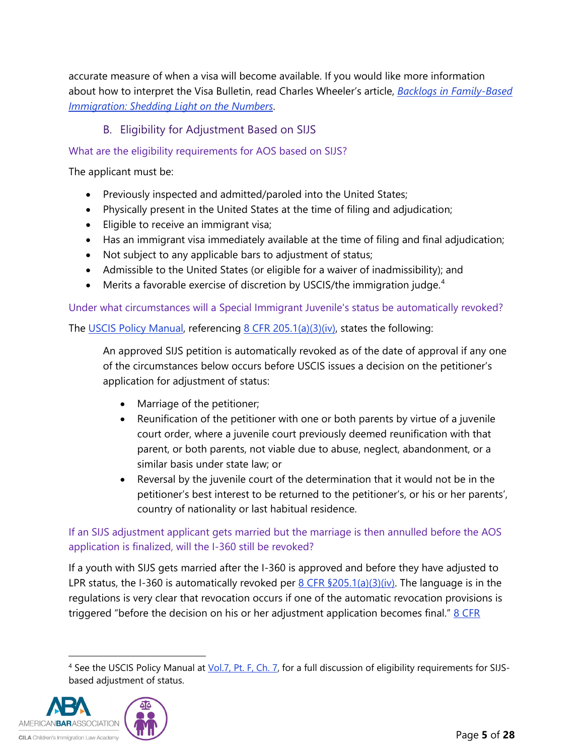accurate measure of when a visa will become available. If you would like more information about how to interpret the Visa Bulletin, read Charles Wheeler's article, *[Backlogs in Family-Based](https://cliniclegal.org/resources/family-based-immigrant-law/backlogs-family-based-immigration-shedding-light-numbers)  [Immigration: Shedding Light on the Numbers](https://cliniclegal.org/resources/family-based-immigrant-law/backlogs-family-based-immigration-shedding-light-numbers)*.

### B. Eligibility for Adjustment Based on SIJS

#### <span id="page-4-0"></span>What are the eligibility requirements for AOS based on SIJS?

The applicant must be:

- Previously inspected and admitted/paroled into the United States;
- Physically present in the United States at the time of filing and adjudication;
- Eligible to receive an immigrant visa;
- Has an immigrant visa immediately available at the time of filing and final adjudication;
- Not subject to any applicable bars to adjustment of status;
- Admissible to the United States (or eligible for a waiver of inadmissibility); and
- Merits a favorable exercise of discretion by USCIS/the immigration judge.<sup>[4](#page-4-1)</sup>

Under what circumstances will a Special Immigrant Juvenile's status be automatically revoked?

The [USCIS Policy Manual,](https://www.uscis.gov/policy-manual/volume-6-part-j-chapter-4#footnotelink-11) referencing [8 CFR 205.1\(a\)\(3\)\(iv\),](https://www.ecfr.gov/cgi-bin/text-idx?SID=36bf9bdd6636e26cbaa8f1c125cd9698&mc=true&node=se8.1.205_11&rgn=div8) states the following:

An approved SIJS petition is automatically revoked as of the date of approval if any one of the circumstances below occurs before USCIS issues a decision on the petitioner's application for adjustment of status:

- Marriage of the petitioner;
- Reunification of the petitioner with one or both parents by virtue of a juvenile court order, where a juvenile court previously deemed reunification with that parent, or both parents, not viable due to abuse, neglect, abandonment, or a similar basis under state law; or
- Reversal by the juvenile court of the determination that it would not be in the petitioner's best interest to be returned to the petitioner's, or his or her parents', country of nationality or last habitual residence.

### If an SIJS adjustment applicant gets married but the marriage is then annulled before the AOS application is finalized, will the I-360 still be revoked?

If a youth with SIJS gets married after the I-360 is approved and before they have adjusted to LPR status, the I-360 is automatically revoked per  $8$  CFR  $$205.1(a)(3)(iv)$ . The language is in the regulations is very clear that revocation occurs if one of the automatic revocation provisions is triggered "before the decision on his or her adjustment application becomes final."  $8$  CFR

<span id="page-4-1"></span><sup>&</sup>lt;sup>4</sup> See the USCIS Policy Manual at *Vol.7, Pt. F, Ch. 7, for a full discussion of eligibility requirements for SIJS*based adjustment of status.

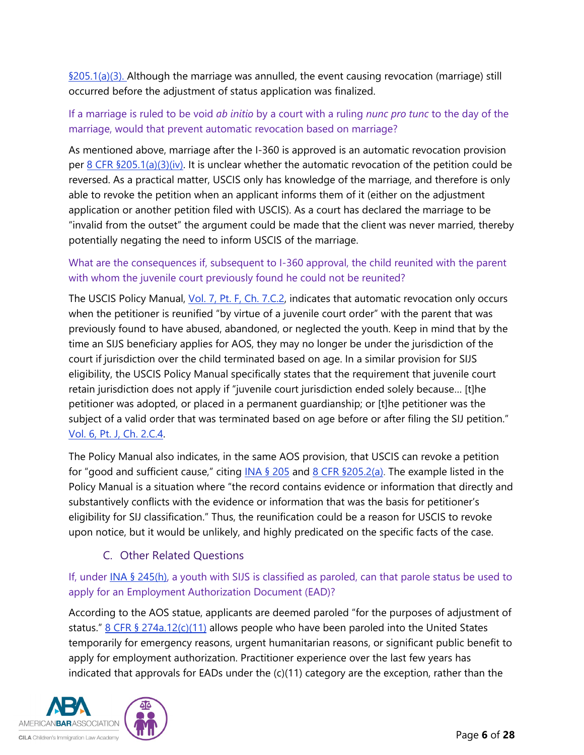$\S205.1(a)(3)$ . Although the marriage was annulled, the event causing revocation (marriage) still occurred before the adjustment of status application was finalized.

### If a marriage is ruled to be void *ab initio* by a court with a ruling *nunc pro tunc* to the day of the marriage, would that prevent automatic revocation based on marriage?

As mentioned above, marriage after the I-360 is approved is an automatic revocation provision per [8 CFR §205.1\(a\)\(3\)\(iv\).](https://www.ecfr.gov/cgi-bin/text-idx?SID=a41c8b0b862604b8ec86813d816796bc&mc=true&node=se8.1.205_11&rgn=div8) It is unclear whether the automatic revocation of the petition could be reversed. As a practical matter, USCIS only has knowledge of the marriage, and therefore is only able to revoke the petition when an applicant informs them of it (either on the adjustment application or another petition filed with USCIS). As a court has declared the marriage to be "invalid from the outset" the argument could be made that the client was never married, thereby potentially negating the need to inform USCIS of the marriage.

### What are the consequences if, subsequent to I-360 approval, the child reunited with the parent with whom the juvenile court previously found he could not be reunited?

The USCIS Policy Manual, *Vol. 7, Pt. F, Ch. 7.C.2*, indicates that automatic revocation only occurs when the petitioner is reunified "by virtue of a juvenile court order" with the parent that was previously found to have abused, abandoned, or neglected the youth. Keep in mind that by the time an SIJS beneficiary applies for AOS, they may no longer be under the jurisdiction of the court if jurisdiction over the child terminated based on age. In a similar provision for SIJS eligibility, the USCIS Policy Manual specifically states that the requirement that juvenile court retain jurisdiction does not apply if "juvenile court jurisdiction ended solely because… [t]he petitioner was adopted, or placed in a permanent guardianship; or [t]he petitioner was the subject of a valid order that was terminated based on age before or after filing the SIJ petition." [Vol. 6, Pt. J, Ch. 2.C.4.](https://www.uscis.gov/policy-manual/volume-6-part-j-chapter-2)

The Policy Manual also indicates, in the same AOS provision, that USCIS can revoke a petition for "good and sufficient cause," citing  $INA \$ § 205 and  $8$  CFR § 205.2(a). The example listed in the Policy Manual is a situation where "the record contains evidence or information that directly and substantively conflicts with the evidence or information that was the basis for petitioner's eligibility for SIJ classification." Thus, the reunification could be a reason for USCIS to revoke upon notice, but it would be unlikely, and highly predicated on the specific facts of the case.

# C. Other Related Questions

### <span id="page-5-0"></span>If, under [INA § 245\(h\),](https://uscode.house.gov/view.xhtml?req=granuleid:USC-prelim-title8-section1255&num=0&edition=prelim) a youth with SIJS is classified as paroled, can that parole status be used to apply for an Employment Authorization Document (EAD)?

According to the AOS statue, applicants are deemed paroled "for the purposes of adjustment of status."  $8$  CFR  $\frac{6}{5}$  [274a.12\(c\)\(11\)](https://www.ecfr.gov/cgi-bin/text-idx?SID=a41c8b0b862604b8ec86813d816796bc&mc=true&node=se8.1.274a_112&rgn=div8) allows people who have been paroled into the United States temporarily for emergency reasons, urgent humanitarian reasons, or significant public benefit to apply for employment authorization. Practitioner experience over the last few years has indicated that approvals for EADs under the (c)(11) category are the exception, rather than the

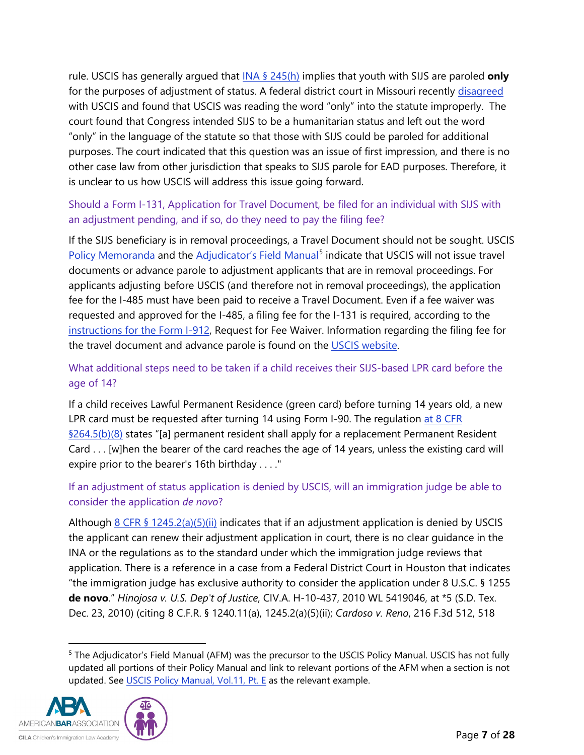rule. USCIS has generally argued that [INA § 245\(h\)](https://uscode.house.gov/view.xhtml?req=granuleid:USC-prelim-title8-section1255&num=0&edition=prelim) implies that youth with SIJS are paroled **only** for the purposes of adjustment of status. A federal district court in Missouri recently [disagreed](https://www.law360.com/articles/1354585) with USCIS and found that USCIS was reading the word "only" into the statute improperly. The court found that Congress intended SIJS to be a humanitarian status and left out the word "only" in the language of the statute so that those with SIJS could be paroled for additional purposes. The court indicated that this question was an issue of first impression, and there is no other case law from other jurisdiction that speaks to SIJS parole for EAD purposes. Therefore, it is unclear to us how USCIS will address this issue going forward.

### Should a Form I-131, Application for Travel Document, be filed for an individual with SIJS with an adjustment pending, and if so, do they need to pay the filing fee?

If the SIJS beneficiary is in removal proceedings, a Travel Document should not be sought. USCIS [Policy Memoranda](https://www.uscis.gov/sites/default/files/USCIS/Laws/Memoranda/2011/April/issuance-advance-parole.pdf) and the [Adjudicator's Field Manual](https://www.uscis.gov/sites/default/files/document/policy-manual-afm/afm54-external.pdf)<sup>[5](#page-6-0)</sup> indicate that USCIS will not issue travel documents or advance parole to adjustment applicants that are in removal proceedings. For applicants adjusting before USCIS (and therefore not in removal proceedings), the application fee for the I-485 must have been paid to receive a Travel Document. Even if a fee waiver was requested and approved for the I-485, a filing fee for the I-131 is required, according to the [instructions for the Form I-912,](https://www.uscis.gov/sites/default/files/document/forms/i-912instr.pdf) Request for Fee Waiver. Information regarding the filing fee for the travel document and advance parole is found on the [USCIS website.](https://www.uscis.gov/i-131)

## What additional steps need to be taken if a child receives their SIJS-based LPR card before the age of 14?

If a child receives Lawful Permanent Residence (green card) before turning 14 years old, a new LPR card must be requested after turning 14 using Form I-90. The regulation at 8 CFR [§264.5\(b\)\(8\)](https://www.ecfr.gov/cgi-bin/text-idx?SID=a41c8b0b862604b8ec86813d816796bc&mc=true&node=se8.1.264_15&rgn=div8) states "[a] permanent resident shall apply for a replacement Permanent Resident Card . . . [w]hen the bearer of the card reaches the age of 14 years, unless the existing card will expire prior to the bearer's 16th birthday . . . ."

### If an adjustment of status application is denied by USCIS, will an immigration judge be able to consider the application *de novo*?

Although  $8$  CFR § [1245.2\(a\)\(5\)\(ii\)](https://www.ecfr.gov/cgi-bin/text-idx?SID=a41c8b0b862604b8ec86813d816796bc&mc=true&node=se8.1.1245_12&rgn=div8) indicates that if an adjustment application is denied by USCIS the applicant can renew their adjustment application in court, there is no clear guidance in the INA or the regulations as to the standard under which the immigration judge reviews that application. There is a reference in a case from a Federal District Court in Houston that indicates "the immigration judge has exclusive authority to consider the application under 8 U.S.C. § 1255 **de novo**." *Hinojosa v. U.S. Dep't of Justice*, CIV.A. H-10-437, 2010 WL 5419046, at \*5 (S.D. Tex. Dec. 23, 2010) (citing 8 C.F.R. § 1240.11(a), 1245.2(a)(5)(ii); *Cardoso v. Reno*, 216 F.3d 512, 518

<span id="page-6-0"></span><sup>5</sup> The Adjudicator's Field Manual (AFM) was the precursor to the USCIS Policy Manual. USCIS has not fully updated all portions of their Policy Manual and link to relevant portions of the AFM when a section is not updated. See [USCIS Policy Manual, Vol.11, Pt. E](https://www.uscis.gov/policy-manual/volume-11-part-e) as the relevant example.



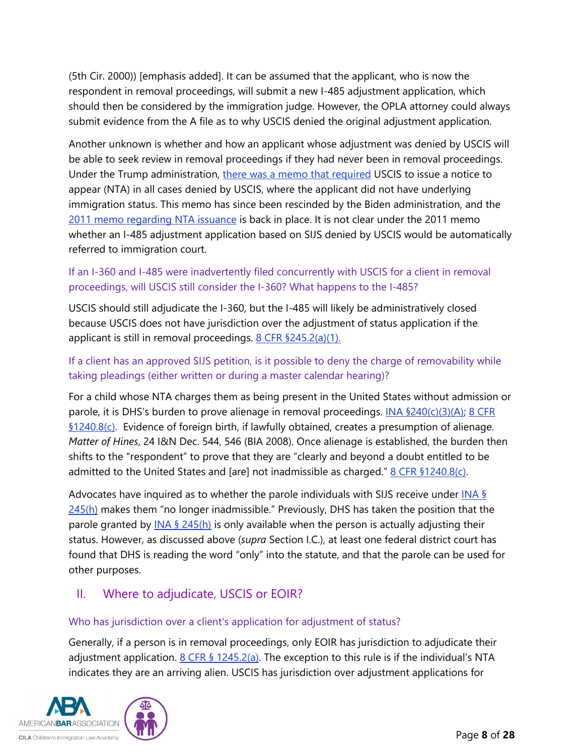(5th Cir. 2000)) [emphasis added]. It can be assumed that the applicant, who is now the respondent in removal proceedings, will submit a new I-485 adjustment application, which should then be considered by the immigration judge. However, the OPLA attorney could always submit evidence from the A file as to why USCIS denied the original adjustment application.

Another unknown is whether and how an applicant whose adjustment was denied by USCIS will be able to seek review in removal proceedings if they had never been in removal proceedings. Under the Trump administration, there [was a memo that required](https://www.uscis.gov/sites/default/files/USCIS/Laws/Memoranda/2018/2018-06-28-PM-602-0050.1-Guidance-for-Referral-of-Cases-and-Issuance-of-NTA.pdf) USCIS to issue a notice to appear (NTA) in all cases denied by USCIS, where the applicant did not have underlying immigration status. This memo has since been rescinded by the Biden administration, and the [2011 memo regarding NTA issuance](https://www.uscis.gov/sites/default/files/document/memos/NTA%20PM%20(Approved%20as%20final%2011-7-11).pdf) is back in place. It is not clear under the 2011 memo whether an I-485 adjustment application based on SIJS denied by USCIS would be automatically referred to immigration court.

### If an I-360 and I-485 were inadvertently filed concurrently with USCIS for a client in removal proceedings, will USCIS still consider the I-360? What happens to the I-485?

USCIS should still adjudicate the I-360, but the I-485 will likely be administratively closed because USCIS does not have jurisdiction over the adjustment of status application if the applicant is still in removal proceedings.  $8$  CFR  $$245.2(a)(1)$ .

### If a client has an approved SIJS petition, is it possible to deny the charge of removability while taking pleadings (either written or during a master calendar hearing)?

For a child whose NTA charges them as being present in the United States without admission or parole, it is DHS's burden to prove alienage in removal proceedings.  $[NA \frac{6240(c)(3)(A)}{8 \text{ CFR}}]$ [§1240.8\(c\).](https://www.ecfr.gov/cgi-bin/text-idx?SID=494541aee98dfabcd51a8c3d3b275eac&mc=true&node=se8.1.1240_18&rgn=div8) Evidence of foreign birth, if lawfully obtained, creates a presumption of alienage. *Matter of Hines*, 24 I&N Dec. 544, 546 (BIA 2008). Once alienage is established, the burden then shifts to the "respondent" to prove that they are "clearly and beyond a doubt entitled to be admitted to the United States and [are] not inadmissible as charged."  $8$  CFR  $$1240.8(c)$ .

Advocates have inquired as to whether the parole individuals with SIJS receive under [INA §](https://uscode.house.gov/view.xhtml?req=granuleid:USC-prelim-title8-section1255&num=0&edition=prelim)  [245\(h\)](https://uscode.house.gov/view.xhtml?req=granuleid:USC-prelim-title8-section1255&num=0&edition=prelim) makes them "no longer inadmissible." Previously, DHS has taken the position that the parole granted by [INA § 245\(h\)](https://uscode.house.gov/view.xhtml?req=granuleid:USC-prelim-title8-section1255&num=0&edition=prelim) is only available when the person is actually adjusting their status. However, as discussed above (*supra* Section I.C.), at least one federal district court has found that DHS is reading the word "only" into the statute, and that the parole can be used for other purposes.

# <span id="page-7-0"></span>II. Where to adjudicate, USCIS or EOIR?

### Who has jurisdiction over a client's application for adjustment of status?

Generally, if a person is in removal proceedings, only EOIR has jurisdiction to adjudicate their adjustment application.  $8$  CFR  $\frac{6}{5}$  [1245.2\(a\).](https://www.ecfr.gov/cgi-bin/text-idx?&node=se8.1.1245_12) The exception to this rule is if the individual's NTA indicates they are an arriving alien. USCIS has jurisdiction over adjustment applications for

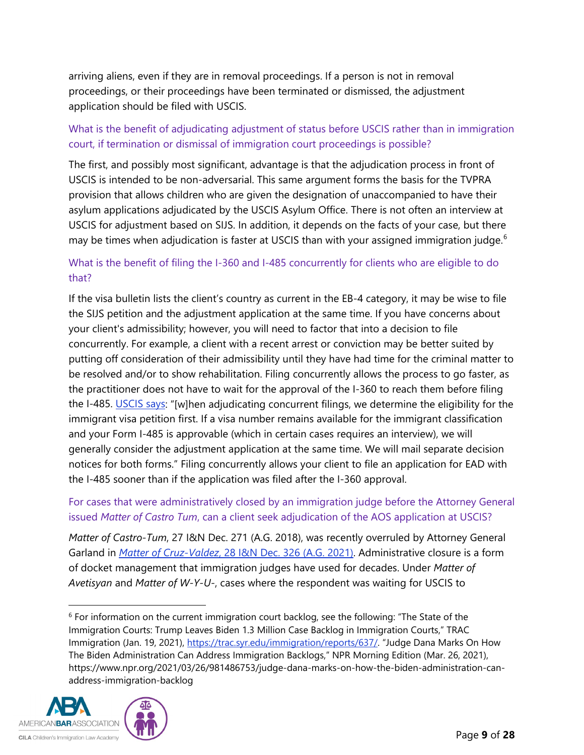arriving aliens, even if they are in removal proceedings. If a person is not in removal proceedings, or their proceedings have been terminated or dismissed, the adjustment application should be filed with USCIS.

### What is the benefit of adjudicating adjustment of status before USCIS rather than in immigration court, if termination or dismissal of immigration court proceedings is possible?

The first, and possibly most significant, advantage is that the adjudication process in front of USCIS is intended to be non-adversarial. This same argument forms the basis for the TVPRA provision that allows children who are given the designation of unaccompanied to have their asylum applications adjudicated by the USCIS Asylum Office. There is not often an interview at USCIS for adjustment based on SIJS. In addition, it depends on the facts of your case, but there may be times when adjudication is faster at USCIS than with your assigned immigration judge.<sup>[6](#page-8-0)</sup>

### What is the benefit of filing the I-360 and I-485 concurrently for clients who are eligible to do that?

If the visa bulletin lists the client's country as current in the EB-4 category, it may be wise to file the SIJS petition and the adjustment application at the same time. If you have concerns about your client's admissibility; however, you will need to factor that into a decision to file concurrently. For example, a client with a recent arrest or conviction may be better suited by putting off consideration of their admissibility until they have had time for the criminal matter to be resolved and/or to show rehabilitation. Filing concurrently allows the process to go faster, as the practitioner does not have to wait for the approval of the I-360 to reach them before filing the I-485. [USCIS says:](https://www.uscis.gov/green-card/green-card-processes-and-procedures/concurrent-filing-of-form-i-485) "[w]hen adjudicating concurrent filings, we determine the eligibility for the immigrant visa petition first. If a visa number remains available for the immigrant classification and your Form I-485 is approvable (which in certain cases requires an interview), we will generally consider the adjustment application at the same time. We will mail separate decision notices for both forms." Filing concurrently allows your client to file an application for EAD with the I-485 sooner than if the application was filed after the I-360 approval.

### For cases that were administratively closed by an immigration judge before the Attorney General issued *Matter of Castro Tum*, can a client seek adjudication of the AOS application at USCIS?

*Matter of Castro-Tum*, 27 I&N Dec. 271 (A.G. 2018), was recently overruled by Attorney General Garland in *Matter of Cruz-Valdez*[, 28 I&N Dec. 326 \(A.G. 2021\).](https://www.justice.gov/eoir/page/file/1412451/download) Administrative closure is a form of docket management that immigration judges have used for decades. Under *Matter of Avetisyan* and *Matter of W-Y-U-*, cases where the respondent was waiting for USCIS to

<span id="page-8-0"></span><sup>6</sup> For information on the current immigration court backlog, see the following: "The State of the Immigration Courts: Trump Leaves Biden 1.3 Million Case Backlog in Immigration Courts," TRAC Immigration (Jan. 19, 2021), [https://trac.syr.edu/immigration/reports/637/.](https://trac.syr.edu/immigration/reports/637/) "Judge Dana Marks On How The Biden Administration Can Address Immigration Backlogs," NPR Morning Edition (Mar. 26, 2021), https://www.npr.org/2021/03/26/981486753/judge-dana-marks-on-how-the-biden-administration-canaddress-immigration-backlog

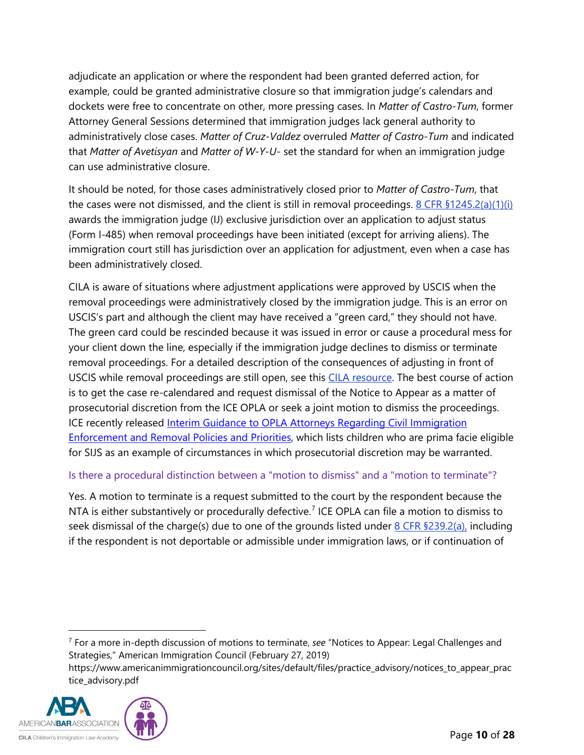adjudicate an application or where the respondent had been granted deferred action, for example, could be granted administrative closure so that immigration judge's calendars and dockets were free to concentrate on other, more pressing cases. In *Matter of Castro-Tum*, former Attorney General Sessions determined that immigration judges lack general authority to administratively close cases. *Matter of Cruz-Valdez* overruled *Matter of Castro-Tum* and indicated that *Matter of Avetisyan* and *Matter of W-Y-U-* set the standard for when an immigration judge can use administrative closure.

It should be noted, for those cases administratively closed prior to *Matter of Castro-Tum*, that the cases were not dismissed, and the client is still in removal proceedings.  $8$  CFR  $$1245.2(a)(1)(i)$ awards the immigration judge (IJ) exclusive jurisdiction over an application to adjust status (Form I-485) when removal proceedings have been initiated (except for arriving aliens). The immigration court still has jurisdiction over an application for adjustment, even when a case has been administratively closed.

CILA is aware of situations where adjustment applications were approved by USCIS when the removal proceedings were administratively closed by the immigration judge. This is an error on USCIS's part and although the client may have received a "green card," they should not have. The green card could be rescinded because it was issued in error or cause a procedural mess for your client down the line, especially if the immigration judge declines to dismiss or terminate removal proceedings. For a detailed description of the consequences of adjusting in front of USCIS while removal proceedings are still open, see this [CILA resource.](https://cilacademy.org/2019/02/08/adjusting-without-jurisdiction-a-cautionary-tale/) The best course of action is to get the case re-calendared and request dismissal of the Notice to Appear as a matter of prosecutorial discretion from the ICE OPLA or seek a joint motion to dismiss the proceedings. ICE recently released Interim Guidance to OPLA Attorneys Regarding Civil Immigration [Enforcement and Removal Policies and Priorities,](https://www.ice.gov/doclib/about/offices/opla/OPLA-immigration-enforcement_interim-guidance.pdf) which lists children who are prima facie eligible for SIJS as an example of circumstances in which prosecutorial discretion may be warranted.

#### Is there a procedural distinction between a "motion to dismiss" and a "motion to terminate"?

Yes. A motion to terminate is a request submitted to the court by the respondent because the NTA is either substantively or procedurally defective.<sup>[7](#page-9-0)</sup> ICE OPLA can file a motion to dismiss to seek dismissal of the charge(s) due to one of the grounds listed under  $8$  CFR  $$239.2(a)$ , including if the respondent is not deportable or admissible under immigration laws, or if continuation of

<span id="page-9-0"></span>https://www.americanimmigrationcouncil.org/sites/default/files/practice\_advisory/notices\_to\_appear\_prac tice\_advisory.pdf



<sup>7</sup> For a more in-depth discussion of motions to terminate, *see* "Notices to Appear: Legal Challenges and Strategies," American Immigration Council (February 27, 2019)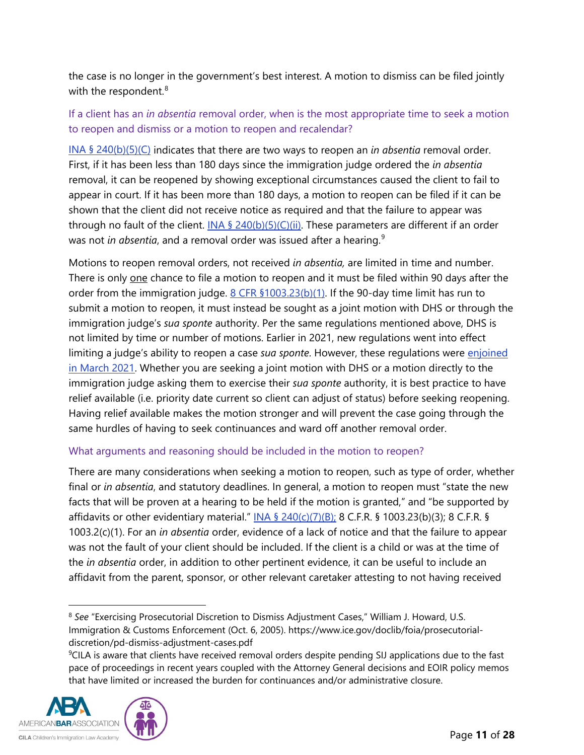the case is no longer in the government's best interest. A motion to dismiss can be filed jointly with the respondent. $8$ 

#### If a client has an *in absentia* removal order, when is the most appropriate time to seek a motion to reopen and dismiss or a motion to reopen and recalendar?

INA § [240\(b\)\(5\)\(C\)](https://uscode.house.gov/view.xhtml?req=granuleid:USC-prelim-title8-section1229a&num=0&edition=prelim) indicates that there are two ways to reopen an *in absentia* removal order. First, if it has been less than 180 days since the immigration judge ordered the *in absentia* removal, it can be reopened by showing exceptional circumstances caused the client to fail to appear in court. If it has been more than 180 days, a motion to reopen can be filed if it can be shown that the client did not receive notice as required and that the failure to appear was through no fault of the client.  $INA \$   $(240(b)(5)(C)(ii)$ . These parameters are different if an order was not *in absentia*, and a removal order was issued after a hearing.<sup>[9](#page-10-1)</sup>

Motions to reopen removal orders, not received *in absentia,* are limited in time and number. There is only one chance to file a motion to reopen and it must be filed within 90 days after the order from the immigration judge. [8 CFR §1003.23\(b\)\(1\).](https://www.ecfr.gov/cgi-bin/text-idx?SID=77e60dfe5cfd2a9443a1bc2ffa832b3c&mc=true&node=se8.1.1003_123&rgn=div8) If the 90-day time limit has run to submit a motion to reopen, it must instead be sought as a joint motion with DHS or through the immigration judge's *sua sponte* authority. Per the same regulations mentioned above, DHS is not limited by time or number of motions. Earlier in 2021, new regulations went into effect limiting a judge's ability to reopen a case *sua sponte*. However, these regulations were [enjoined](https://asistahelp.org/national-injunction-granted-blocking-harmful-doj-rule/)  [in March 2021.](https://asistahelp.org/national-injunction-granted-blocking-harmful-doj-rule/) Whether you are seeking a joint motion with DHS or a motion directly to the immigration judge asking them to exercise their *sua sponte* authority, it is best practice to have relief available (i.e. priority date current so client can adjust of status) before seeking reopening. Having relief available makes the motion stronger and will prevent the case going through the same hurdles of having to seek continuances and ward off another removal order.

#### What arguments and reasoning should be included in the motion to reopen?

There are many considerations when seeking a motion to reopen, such as type of order, whether final or *in absentia*, and statutory deadlines. In general, a motion to reopen must "state the new facts that will be proven at a hearing to be held if the motion is granted," and "be supported by affidavits or other evidentiary material." INA § [240\(c\)\(7\)\(B\);](https://uscode.house.gov/view.xhtml?req=granuleid:USC-prelim-title8-section1229a&num=0&edition=prelim) 8 C.F.R. § 1003.23(b)(3); 8 C.F.R. § 1003.2(c)(1). For an *in absentia* order, evidence of a lack of notice and that the failure to appear was not the fault of your client should be included. If the client is a child or was at the time of the *in absentia* order, in addition to other pertinent evidence, it can be useful to include an affidavit from the parent, sponsor, or other relevant caretaker attesting to not having received

<span id="page-10-1"></span><span id="page-10-0"></span><sup>&</sup>lt;sup>9</sup>CILA is aware that clients have received removal orders despite pending SIJ applications due to the fast pace of proceedings in recent years coupled with the Attorney General decisions and EOIR policy memos that have limited or increased the burden for continuances and/or administrative closure.



<sup>8</sup> *See* "Exercising Prosecutorial Discretion to Dismiss Adjustment Cases," William J. Howard, U.S. Immigration & Customs Enforcement (Oct. 6, 2005). https://www.ice.gov/doclib/foia/prosecutorialdiscretion/pd-dismiss-adjustment-cases.pdf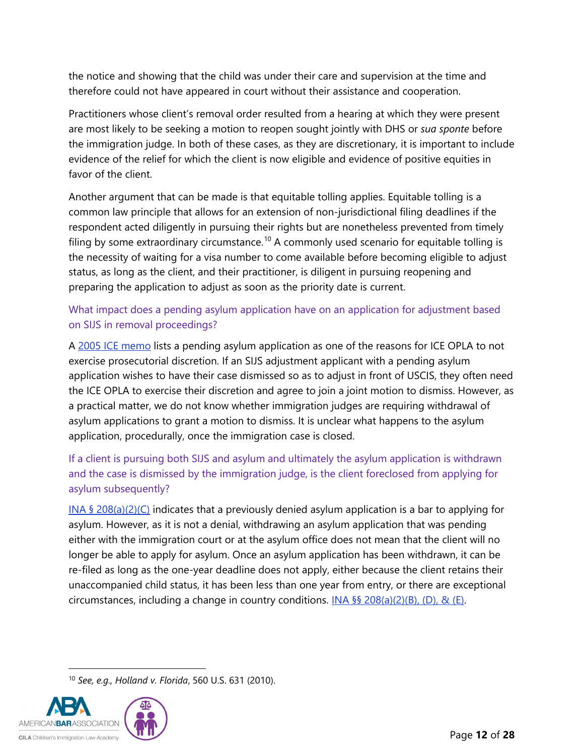the notice and showing that the child was under their care and supervision at the time and therefore could not have appeared in court without their assistance and cooperation.

Practitioners whose client's removal order resulted from a hearing at which they were present are most likely to be seeking a motion to reopen sought jointly with DHS or *sua sponte* before the immigration judge. In both of these cases, as they are discretionary, it is important to include evidence of the relief for which the client is now eligible and evidence of positive equities in favor of the client.

Another argument that can be made is that equitable tolling applies. Equitable tolling is a common law principle that allows for an extension of non-jurisdictional filing deadlines if the respondent acted diligently in pursuing their rights but are nonetheless prevented from timely filing by some extraordinary circumstance.<sup>[10](#page-11-0)</sup> A commonly used scenario for equitable tolling is the necessity of waiting for a visa number to come available before becoming eligible to adjust status, as long as the client, and their practitioner, is diligent in pursuing reopening and preparing the application to adjust as soon as the priority date is current.

# What impact does a pending asylum application have on an application for adjustment based on SIJS in removal proceedings?

A [2005 ICE memo](https://www.ice.gov/doclib/foia/prosecutorial-discretion/pd-dismiss-adjustment-cases.pdf) lists a pending asylum application as one of the reasons for ICE OPLA to not exercise prosecutorial discretion. If an SIJS adjustment applicant with a pending asylum application wishes to have their case dismissed so as to adjust in front of USCIS, they often need the ICE OPLA to exercise their discretion and agree to join a joint motion to dismiss. However, as a practical matter, we do not know whether immigration judges are requiring withdrawal of asylum applications to grant a motion to dismiss. It is unclear what happens to the asylum application, procedurally, once the immigration case is closed.

# If a client is pursuing both SIJS and asylum and ultimately the asylum application is withdrawn and the case is dismissed by the immigration judge, is the client foreclosed from applying for asylum subsequently?

INA  $\S 208(a)(2)(C)$  $\S 208(a)(2)(C)$  indicates that a previously denied asylum application is a bar to applying for asylum. However, as it is not a denial, withdrawing an asylum application that was pending either with the immigration court or at the asylum office does not mean that the client will no longer be able to apply for asylum. Once an asylum application has been withdrawn, it can be re-filed as long as the one-year deadline does not apply, either because the client retains their unaccompanied child status, it has been less than one year from entry, or there are exceptional circumstances, including a change in country conditions.  $INA \$ §§ [208\(a\)\(2\)\(B\), \(D\), & \(E\).](https://uscode.house.gov/view.xhtml?req=granuleid:USC-prelim-title8-section1158&num=0&edition=prelim)

<sup>10</sup> *See, e.g., Holland v. Florida*, 560 U.S. 631 (2010).

<span id="page-11-0"></span>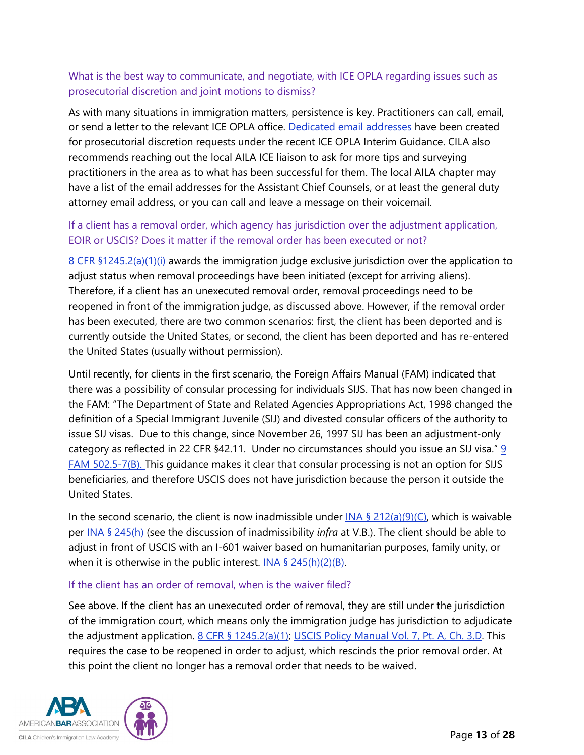## What is the best way to communicate, and negotiate, with ICE OPLA regarding issues such as prosecutorial discretion and joint motions to dismiss?

As with many situations in immigration matters, persistence is key. Practitioners can call, email, or send a letter to the relevant ICE OPLA office. [Dedicated email addresses](https://www.ice.gov/about-ice/opla/prosecutorial-discretion) have been created for prosecutorial discretion requests under the recent ICE OPLA Interim Guidance. CILA also recommends reaching out the local AILA ICE liaison to ask for more tips and surveying practitioners in the area as to what has been successful for them. The local AILA chapter may have a list of the email addresses for the Assistant Chief Counsels, or at least the general duty attorney email address, or you can call and leave a message on their voicemail.

### If a client has a removal order, which agency has jurisdiction over the adjustment application, EOIR or USCIS? Does it matter if the removal order has been executed or not?

[8 CFR §1245.2\(a\)\(1\)\(i\)](https://www.ecfr.gov/cgi-bin/text-idx?SID=52fe3fdc9c9c6d233efc54bafb5ce3d8&mc=true&node=se8.1.1245_12&rgn=div8) awards the immigration judge exclusive jurisdiction over the application to adjust status when removal proceedings have been initiated (except for arriving aliens). Therefore, if a client has an unexecuted removal order, removal proceedings need to be reopened in front of the immigration judge, as discussed above. However, if the removal order has been executed, there are two common scenarios: first, the client has been deported and is currently outside the United States, or second, the client has been deported and has re-entered the United States (usually without permission).

Until recently, for clients in the first scenario, the Foreign Affairs Manual (FAM) indicated that there was a possibility of consular processing for individuals SIJS. That has now been changed in the FAM: "The Department of State and Related Agencies Appropriations Act, 1998 changed the definition of a Special Immigrant Juvenile (SIJ) and divested consular officers of the authority to issue SIJ visas. Due to this change, since November 26, 1997 SIJ has been an adjustment-only category as reflected in 22 CFR §42.11. Under no circumstances should you issue an SIJ visa." [9](https://fam.state.gov/fam/09FAM/09FAM050205.html)  [FAM 502.5-7\(B\).](https://fam.state.gov/fam/09FAM/09FAM050205.html) This guidance makes it clear that consular processing is not an option for SIJS beneficiaries, and therefore USCIS does not have jurisdiction because the person it outside the United States.

In the second scenario, the client is now inadmissible under INA §  $212(a)(9)(C)$ , which is waivable per [INA § 245\(h\)](https://uscode.house.gov/view.xhtml?req=granuleid:USC-prelim-title8-section1255&num=0&edition=prelim) (see the discussion of inadmissibility *infra* at V.B.). The client should be able to adjust in front of USCIS with an I-601 waiver based on humanitarian purposes, family unity, or when it is otherwise in the public interest.  $INA \$   $245(h)(2)(B)$ .

#### If the client has an order of removal, when is the waiver filed?

See above. If the client has an unexecuted order of removal, they are still under the jurisdiction of the immigration court, which means only the immigration judge has jurisdiction to adjudicate the adjustment application. 8 CFR § [1245.2\(a\)\(1\);](https://www.ecfr.gov/cgi-bin/text-idx?SID=52fe3fdc9c9c6d233efc54bafb5ce3d8&mc=true&node=se8.1.1245_12&rgn=div8) [USCIS Policy Manual Vol. 7, Pt. A, Ch. 3.D.](https://www.uscis.gov/policy-manual/volume-7-part-a-chapter-3#footnotelink-18) This requires the case to be reopened in order to adjust, which rescinds the prior removal order. At this point the client no longer has a removal order that needs to be waived.

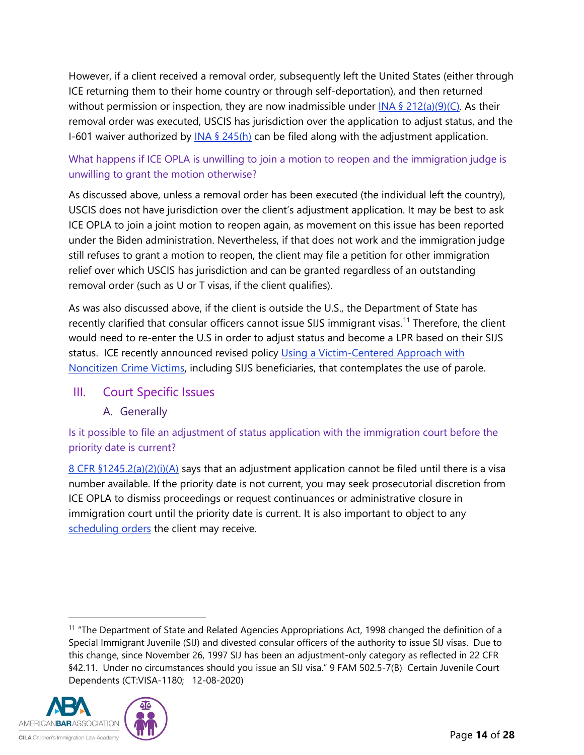However, if a client received a removal order, subsequently left the United States (either through ICE returning them to their home country or through self-deportation), and then returned without permission or inspection, they are now inadmissible under  $\frac{N}{A}$  § [212\(a\)\(9\)\(C\).](https://uscode.house.gov/view.xhtml?req=granuleid:USC-prelim-title8-section1182&num=0&edition=prelim) As their removal order was executed, USCIS has jurisdiction over the application to adjust status, and the I-601 waiver authorized by  $INA \$   $245(h)$  can be filed along with the adjustment application.

### What happens if ICE OPLA is unwilling to join a motion to reopen and the immigration judge is unwilling to grant the motion otherwise?

As discussed above, unless a removal order has been executed (the individual left the country), USCIS does not have jurisdiction over the client's adjustment application. It may be best to ask ICE OPLA to join a joint motion to reopen again, as movement on this issue has been reported under the Biden administration. Nevertheless, if that does not work and the immigration judge still refuses to grant a motion to reopen, the client may file a petition for other immigration relief over which USCIS has jurisdiction and can be granted regardless of an outstanding removal order (such as U or T visas, if the client qualifies).

As was also discussed above, if the client is outside the U.S., the Department of State has recently clarified that consular officers cannot issue SIJS immigrant visas.<sup>[11](#page-13-2)</sup> Therefore, the client would need to re-enter the U.S in order to adjust status and become a LPR based on their SIJS status. ICE recently announced revised policy Using a Victim-Centered Approach with [Noncitizen Crime Victims,](https://www.ice.gov/doclib/news/releases/2021/11005.3.pdf) including SIJS beneficiaries, that contemplates the use of parole.

### <span id="page-13-1"></span><span id="page-13-0"></span>III. Court Specific Issues

A. Generally

Is it possible to file an adjustment of status application with the immigration court before the priority date is current?

[8 CFR §1245.2\(a\)\(2\)\(i\)\(A\)](https://www.ecfr.gov/cgi-bin/text-idx?SID=52fe3fdc9c9c6d233efc54bafb5ce3d8&mc=true&node=se8.1.1245_12&rgn=div8) says that an adjustment application cannot be filed until there is a visa number available. If the priority date is not current, you may seek prosecutorial discretion from ICE OPLA to dismiss proceedings or request continuances or administrative closure in immigration court until the priority date is current. It is also important to object to any [scheduling orders](https://cilacademy.org/2020/12/08/strategy-considerations-when-responding-to-scheduling-orders-in-childrens-cases/) the client may receive.

<span id="page-13-2"></span><sup>&</sup>lt;sup>11</sup> "The Department of State and Related Agencies Appropriations Act, 1998 changed the definition of a Special Immigrant Juvenile (SIJ) and divested consular officers of the authority to issue SIJ visas. Due to this change, since November 26, 1997 SIJ has been an adjustment-only category as reflected in 22 CFR §42.11. Under no circumstances should you issue an SIJ visa." 9 FAM 502.5-7(B) Certain Juvenile Court Dependents (CT:VISA-1180; 12-08-2020)

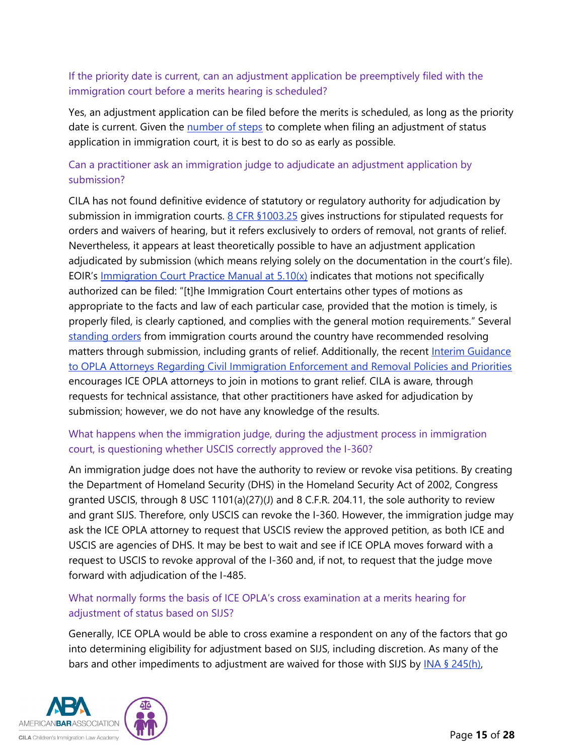### If the priority date is current, can an adjustment application be preemptively filed with the immigration court before a merits hearing is scheduled?

Yes, an adjustment application can be filed before the merits is scheduled, as long as the priority date is current. Given the [number of steps](https://www.uscis.gov/sites/default/files/document/legal-docs/Pre%20Order%20Instructions%20EOIR.pdf) to complete when filing an adjustment of status application in immigration court, it is best to do so as early as possible.

### Can a practitioner ask an immigration judge to adjudicate an adjustment application by submission?

CILA has not found definitive evidence of statutory or regulatory authority for adjudication by submission in immigration courts. [8 CFR §1003.25](https://www.ecfr.gov/cgi-bin/text-idx?SID=52fe3fdc9c9c6d233efc54bafb5ce3d8&mc=true&node=pt8.1.1003&rgn=div5#se8.1.1003_125) gives instructions for stipulated requests for orders and waivers of hearing, but it refers exclusively to orders of removal, not grants of relief. Nevertheless, it appears at least theoretically possible to have an adjustment application adjudicated by submission (which means relying solely on the documentation in the court's file). EOIR's [Immigration Court Practice Manual at 5.10\(x\)](https://www.justice.gov/eoir/eoir-policy-manual/5/10) indicates that motions not specifically authorized can be filed: "[t]he Immigration Court entertains other types of motions as appropriate to the facts and law of each particular case, provided that the motion is timely, is properly filed, is clearly captioned, and complies with the general motion requirements." Several [standing orders](https://www.justice.gov/eoir/page/file/1273386/download) from immigration courts around the country have recommended resolving matters through submission, including grants of relief. Additionally, the recent Interim Guidance [to OPLA Attorneys Regarding Civil Immigration Enforcement and Removal Policies and Priorities](https://www.ice.gov/doclib/about/offices/opla/OPLA-immigration-enforcement_interim-guidance.pdf) encourages ICE OPLA attorneys to join in motions to grant relief. CILA is aware, through requests for technical assistance, that other practitioners have asked for adjudication by submission; however, we do not have any knowledge of the results.

### What happens when the immigration judge, during the adjustment process in immigration court, is questioning whether USCIS correctly approved the I-360?

An immigration judge does not have the authority to review or revoke visa petitions. By creating the Department of Homeland Security (DHS) in the Homeland Security Act of 2002, Congress granted USCIS, through 8 USC 1101(a)(27)(J) and 8 C.F.R. 204.11, the sole authority to review and grant SIJS. Therefore, only USCIS can revoke the I-360. However, the immigration judge may ask the ICE OPLA attorney to request that USCIS review the approved petition, as both ICE and USCIS are agencies of DHS. It may be best to wait and see if ICE OPLA moves forward with a request to USCIS to revoke approval of the I-360 and, if not, to request that the judge move forward with adjudication of the I-485.

### What normally forms the basis of ICE OPLA's cross examination at a merits hearing for adjustment of status based on SIJS?

Generally, ICE OPLA would be able to cross examine a respondent on any of the factors that go into determining eligibility for adjustment based on SIJS, including discretion. As many of the bars and other impediments to adjustment are waived for those with SIJS by  $INA$  § 245(h),

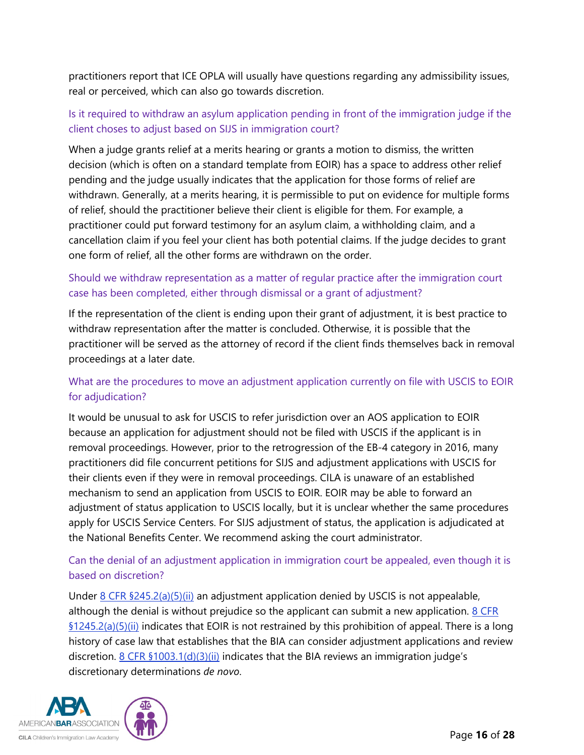practitioners report that ICE OPLA will usually have questions regarding any admissibility issues, real or perceived, which can also go towards discretion.

### Is it required to withdraw an asylum application pending in front of the immigration judge if the client choses to adjust based on SIJS in immigration court?

When a judge grants relief at a merits hearing or grants a motion to dismiss, the written decision (which is often on a standard template from EOIR) has a space to address other relief pending and the judge usually indicates that the application for those forms of relief are withdrawn. Generally, at a merits hearing, it is permissible to put on evidence for multiple forms of relief, should the practitioner believe their client is eligible for them. For example, a practitioner could put forward testimony for an asylum claim, a withholding claim, and a cancellation claim if you feel your client has both potential claims. If the judge decides to grant one form of relief, all the other forms are withdrawn on the order.

### Should we withdraw representation as a matter of regular practice after the immigration court case has been completed, either through dismissal or a grant of adjustment?

If the representation of the client is ending upon their grant of adjustment, it is best practice to withdraw representation after the matter is concluded. Otherwise, it is possible that the practitioner will be served as the attorney of record if the client finds themselves back in removal proceedings at a later date.

### What are the procedures to move an adjustment application currently on file with USCIS to EOIR for adjudication?

It would be unusual to ask for USCIS to refer jurisdiction over an AOS application to EOIR because an application for adjustment should not be filed with USCIS if the applicant is in removal proceedings. However, prior to the retrogression of the EB-4 category in 2016, many practitioners did file concurrent petitions for SIJS and adjustment applications with USCIS for their clients even if they were in removal proceedings. CILA is unaware of an established mechanism to send an application from USCIS to EOIR. EOIR may be able to forward an adjustment of status application to USCIS locally, but it is unclear whether the same procedures apply for USCIS Service Centers. For SIJS adjustment of status, the application is adjudicated at the National Benefits Center. We recommend asking the court administrator.

### Can the denial of an adjustment application in immigration court be appealed, even though it is based on discretion?

Under  $8$  CFR  $$245.2(a)(5)(ii)$  an adjustment application denied by USCIS is not appealable, although the denial is without prejudice so the applicant can submit a new application.  $8 \text{ CFR}$ [§1245.2\(a\)\(5\)\(ii\)](https://www.ecfr.gov/cgi-bin/text-idx?SID=52fe3fdc9c9c6d233efc54bafb5ce3d8&mc=true&node=se8.1.1245_12&rgn=div8) indicates that EOIR is not restrained by this prohibition of appeal. There is a long history of case law that establishes that the BIA can consider adjustment applications and review discretion.  $8$  CFR  $$1003.1(d)(3)(ii)$  indicates that the BIA reviews an immigration judge's discretionary determinations *de novo*.

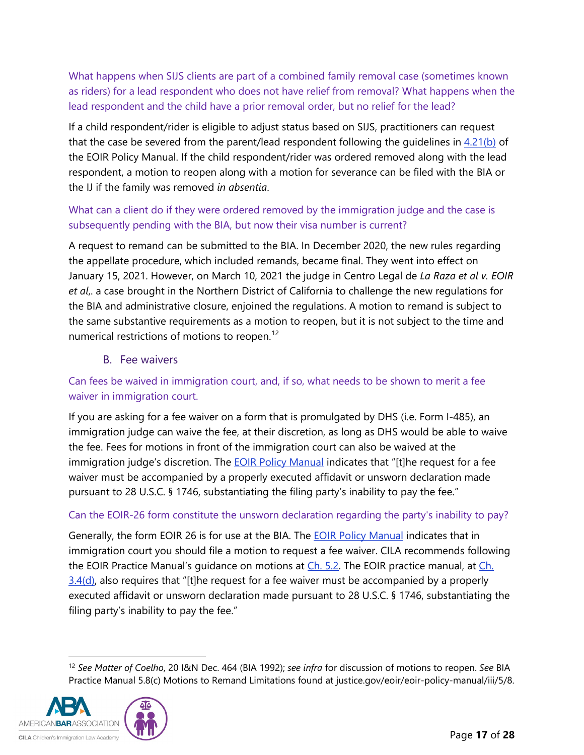What happens when SIJS clients are part of a combined family removal case (sometimes known as riders) for a lead respondent who does not have relief from removal? What happens when the lead respondent and the child have a prior removal order, but no relief for the lead?

If a child respondent/rider is eligible to adjust status based on SIJS, practitioners can request that the case be severed from the parent/lead respondent following the guidelines in [4.21\(b\)](https://www.justice.gov/eoir/eoir-policy-manual/4/21) of the EOIR Policy Manual. If the child respondent/rider was ordered removed along with the lead respondent, a motion to reopen along with a motion for severance can be filed with the BIA or the IJ if the family was removed *in absentia*.

### What can a client do if they were ordered removed by the immigration judge and the case is subsequently pending with the BIA, but now their visa number is current?

A request to remand can be submitted to the BIA. In December 2020, the new rules regarding the appellate procedure, which included remands, became final. They went into effect on January 15, 2021. However, on March 10, 2021 the judge in Centro Legal de *[La Raza et al v. EOIR](https://www.courthousenews.com/judge-likely-to-block-trump-era-changes-to-immigration-court/?amp)  [et al](https://www.courthousenews.com/judge-likely-to-block-trump-era-changes-to-immigration-court/?amp)*,. a case brought in the Northern District of California to challenge the new regulations for the BIA and administrative closure, enjoined the regulations. A motion to remand is subject to the same substantive requirements as a motion to reopen, but it is not subject to the time and numerical restrictions of motions to reopen.<sup>[12](#page-16-1)</sup>

B. Fee waivers

# <span id="page-16-0"></span>Can fees be waived in immigration court, and, if so, what needs to be shown to merit a fee waiver in immigration court.

If you are asking for a fee waiver on a form that is promulgated by DHS (i.e. Form I-485), an immigration judge can waive the fee, at their discretion, as long as DHS would be able to waive the fee. Fees for motions in front of the immigration court can also be waived at the immigration judge's discretion. The **EOIR Policy Manual** indicates that "[t]he request for a fee waiver must be accompanied by a properly executed affidavit or unsworn declaration made pursuant to 28 U.S.C. § 1746, substantiating the filing party's inability to pay the fee."

# Can the EOIR-26 form constitute the unsworn declaration regarding the party's inability to pay?

Generally, the form EOIR 26 is for use at the BIA. The [EOIR Policy](https://www.justice.gov/eoir/eoir-policy-manual/3/3) Manual indicates that in immigration court you should file a motion to request a fee waiver. CILA recommends following the EOIR Practice Manual's guidance on motions at [Ch. 5.2.](https://www.justice.gov/eoir/eoir-policy-manual/5/2) The EOIR practice manual, at Ch.  $3.4$ (d), also requires that "[t]he request for a fee waiver must be accompanied by a properly executed affidavit or unsworn declaration made pursuant to 28 U.S.C. § 1746, substantiating the filing party's inability to pay the fee."

<span id="page-16-1"></span><sup>12</sup> *See Matter of Coelho*, 20 I&N Dec. 464 (BIA 1992); *see infra* for discussion of motions to reopen. *See* BIA Practice Manual 5.8(c) Motions to Remand Limitations found at justice.gov/eoir/eoir-policy-manual/iii/5/8.

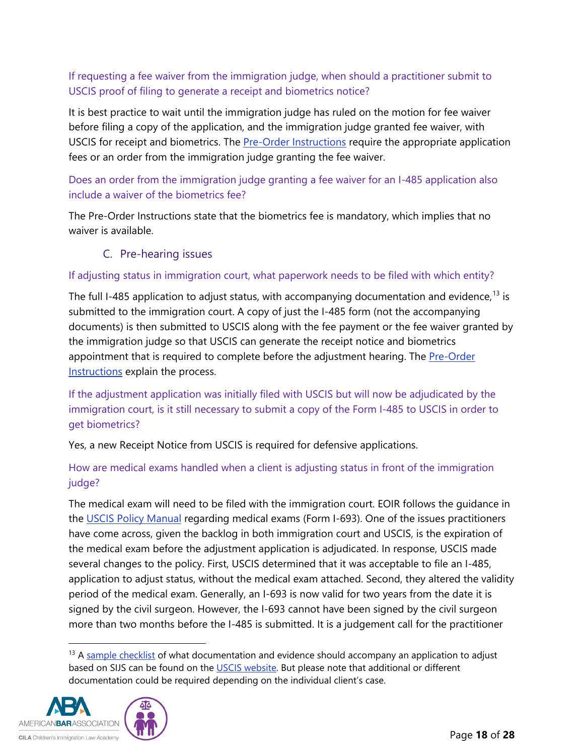# If requesting a fee waiver from the immigration judge, when should a practitioner submit to USCIS proof of filing to generate a receipt and biometrics notice?

It is best practice to wait until the immigration judge has ruled on the motion for fee waiver before filing a copy of the application, and the immigration judge granted fee waiver, with USCIS for receipt and biometrics. The [Pre-Order Instructions](https://www.uscis.gov/sites/default/files/document/legal-docs/Pre%20Order%20Instructions%20EOIR.pdf) require the appropriate application fees or an order from the immigration judge granting the fee waiver.

### Does an order from the immigration judge granting a fee waiver for an I-485 application also include a waiver of the biometrics fee?

The Pre-Order Instructions state that the biometrics fee is mandatory, which implies that no waiver is available.

# C. Pre-hearing issues

#### <span id="page-17-0"></span>If adjusting status in immigration court, what paperwork needs to be filed with which entity?

The full I-485 application to adjust status, with accompanying documentation and evidence,  $13$  is submitted to the immigration court. A copy of just the I-485 form (not the accompanying documents) is then submitted to USCIS along with the fee payment or the fee waiver granted by the immigration judge so that USCIS can generate the receipt notice and biometrics appointment that is required to complete before the adjustment hearing. The Pre-Order [Instructions](https://www.uscis.gov/sites/default/files/document/legal-docs/Pre%20Order%20Instructions%20EOIR.pdf) explain the process.

If the adjustment application was initially filed with USCIS but will now be adjudicated by the immigration court, is it still necessary to submit a copy of the Form I-485 to USCIS in order to get biometrics?

#### Yes, a new Receipt Notice from USCIS is required for defensive applications.

### How are medical exams handled when a client is adjusting status in front of the immigration judge?

The medical exam will need to be filed with the immigration court. EOIR follows the guidance in the [USCIS Policy Manual](https://www.uscis.gov/policy-manual/volume-8-part-b-chapter-4) regarding medical exams (Form I-693). One of the issues practitioners have come across, given the backlog in both immigration court and USCIS, is the expiration of the medical exam before the adjustment application is adjudicated. In response, USCIS made several changes to the policy. First, USCIS determined that it was acceptable to file an I-485, application to adjust status, without the medical exam attached. Second, they altered the validity period of the medical exam. Generally, an I-693 is now valid for two years from the date it is signed by the civil surgeon. However, the I-693 cannot have been signed by the civil surgeon more than two months before the I-485 is submitted. It is a judgement call for the practitioner

<span id="page-17-1"></span><sup>&</sup>lt;sup>13</sup> A [sample checklist](https://www.uscis.gov/i-485Checklist) of what documentation and evidence should accompany an application to adjust based on SIJS can be found on the [USCIS website.](https://www.uscis.gov/i-485Checklist) But please note that additional or different documentation could be required depending on the individual client's case.

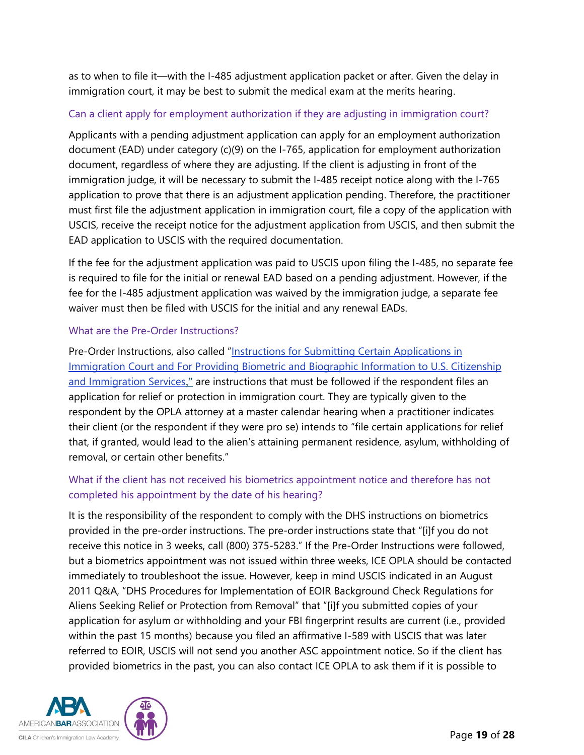as to when to file it—with the I-485 adjustment application packet or after. Given the delay in immigration court, it may be best to submit the medical exam at the merits hearing.

#### Can a client apply for employment authorization if they are adjusting in immigration court?

Applicants with a pending adjustment application can apply for an employment authorization document (EAD) under category (c)(9) on the I-765, application for employment authorization document, regardless of where they are adjusting. If the client is adjusting in front of the immigration judge, it will be necessary to submit the I-485 receipt notice along with the I-765 application to prove that there is an adjustment application pending. Therefore, the practitioner must first file the adjustment application in immigration court, file a copy of the application with USCIS, receive the receipt notice for the adjustment application from USCIS, and then submit the EAD application to USCIS with the required documentation.

If the fee for the adjustment application was paid to USCIS upon filing the I-485, no separate fee is required to file for the initial or renewal EAD based on a pending adjustment. However, if the fee for the I-485 adjustment application was waived by the immigration judge, a separate fee waiver must then be filed with USCIS for the initial and any renewal EADs.

#### What are the Pre-Order Instructions?

Pre-Order Instructions, also called ["Instructions for Submitting Certain Applications in](https://www.uscis.gov/sites/default/files/document/legal-docs/Pre%20Order%20Instructions%20EOIR.pdf)  [Immigration Court and For Providing Biometric and Biographic Information to U.S. Citizenship](https://www.uscis.gov/sites/default/files/document/legal-docs/Pre%20Order%20Instructions%20EOIR.pdf)  [and Immigration Services](https://www.uscis.gov/sites/default/files/document/legal-docs/Pre%20Order%20Instructions%20EOIR.pdf)," are instructions that must be followed if the respondent files an application for relief or protection in immigration court. They are typically given to the respondent by the OPLA attorney at a master calendar hearing when a practitioner indicates their client (or the respondent if they were pro se) intends to "file certain applications for relief that, if granted, would lead to the alien's attaining permanent residence, asylum, withholding of removal, or certain other benefits."

### What if the client has not received his biometrics appointment notice and therefore has not completed his appointment by the date of his hearing?

It is the responsibility of the respondent to comply with the DHS instructions on biometrics provided in the pre-order instructions. The pre-order instructions state that "[i]f you do not receive this notice in 3 weeks, call (800) 375-5283." If the Pre-Order Instructions were followed, but a biometrics appointment was not issued within three weeks, ICE OPLA should be contacted immediately to troubleshoot the issue. However, keep in mind USCIS indicated in an August 2011 Q&A, "DHS Procedures for Implementation of EOIR Background Check Regulations for Aliens Seeking Relief or Protection from Removal" that "[i]f you submitted copies of your application for asylum or withholding and your FBI fingerprint results are current (i.e., provided within the past 15 months) because you filed an affirmative I-589 with USCIS that was later referred to EOIR, USCIS will not send you another ASC appointment notice. So if the client has provided biometrics in the past, you can also contact ICE OPLA to ask them if it is possible to

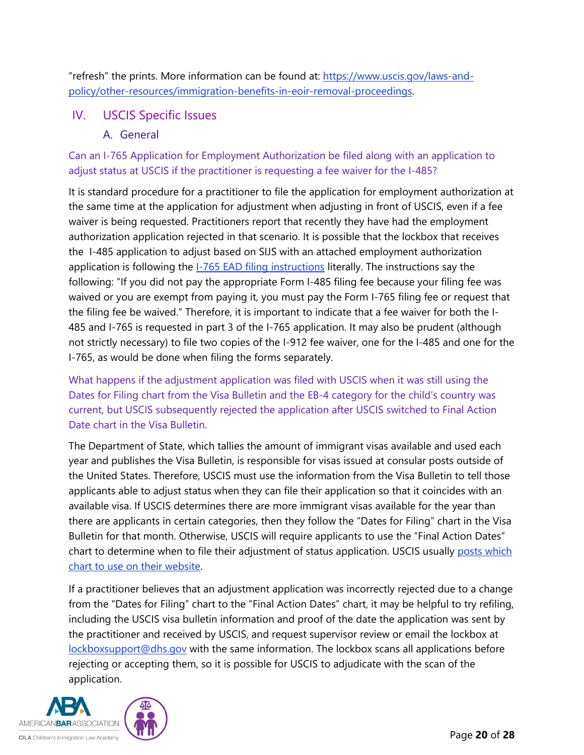"refresh" the prints. More information can be found at: [https://www.uscis.gov/laws-and](https://www.uscis.gov/laws-and-policy/other-resources/immigration-benefits-in-eoir-removal-proceedings)[policy/other-resources/immigration-benefits-in-eoir-removal-proceedings.](https://www.uscis.gov/laws-and-policy/other-resources/immigration-benefits-in-eoir-removal-proceedings)

# <span id="page-19-1"></span><span id="page-19-0"></span>IV. USCIS Specific Issues

### A. General

Can an I-765 Application for Employment Authorization be filed along with an application to adjust status at USCIS if the practitioner is requesting a fee waiver for the I-485?

It is standard procedure for a practitioner to file the application for employment authorization at the same time at the application for adjustment when adjusting in front of USCIS, even if a fee waiver is being requested. Practitioners report that recently they have had the employment authorization application rejected in that scenario. It is possible that the lockbox that receives the I-485 application to adjust based on SIJS with an attached employment authorization application is following the **I-765 EAD [filing instructions](https://www.uscis.gov/sites/default/files/document/forms/i-765instr.pdf)** literally. The instructions say the following: "If you did not pay the appropriate Form I-485 filing fee because your filing fee was waived or you are exempt from paying it, you must pay the Form I-765 filing fee or request that the filing fee be waived." Therefore, it is important to indicate that a fee waiver for both the I-485 and I-765 is requested in part 3 of the I-765 application. It may also be prudent (although not strictly necessary) to file two copies of the I-912 fee waiver, one for the I-485 and one for the I-765, as would be done when filing the forms separately.

What happens if the adjustment application was filed with USCIS when it was still using the Dates for Filing chart from the Visa Bulletin and the EB-4 category for the child's country was current, but USCIS subsequently rejected the application after USCIS switched to Final Action Date chart in the Visa Bulletin.

The Department of State, which tallies the amount of immigrant visas available and used each year and publishes the Visa Bulletin, is responsible for visas issued at consular posts outside of the United States. Therefore, USCIS must use the information from the Visa Bulletin to tell those applicants able to adjust status when they can file their application so that it coincides with an available visa. If USCIS determines there are more immigrant visas available for the year than there are applicants in certain categories, then they follow the "Dates for Filing" chart in the Visa Bulletin for that month. Otherwise, USCIS will require applicants to use the "Final Action Dates" chart to determine when to file their adjustment of status application. USCIS usually posts which [chart to use on their website.](https://www.uscis.gov/green-card/green-card-processes-and-procedures/visa-availability-priority-dates/adjustment-of-status-filing-charts-from-the-visa-bulletin)

If a practitioner believes that an adjustment application was incorrectly rejected due to a change from the "Dates for Filing" chart to the "Final Action Dates" chart, it may be helpful to try refiling, including the USCIS visa bulletin information and proof of the date the application was sent by the practitioner and received by USCIS, and request supervisor review or email the lockbox at [lockboxsupport@dhs.gov](mailto:lockboxsupport@dhs.gov) with the same information. The lockbox scans all applications before rejecting or accepting them, so it is possible for USCIS to adjudicate with the scan of the application.

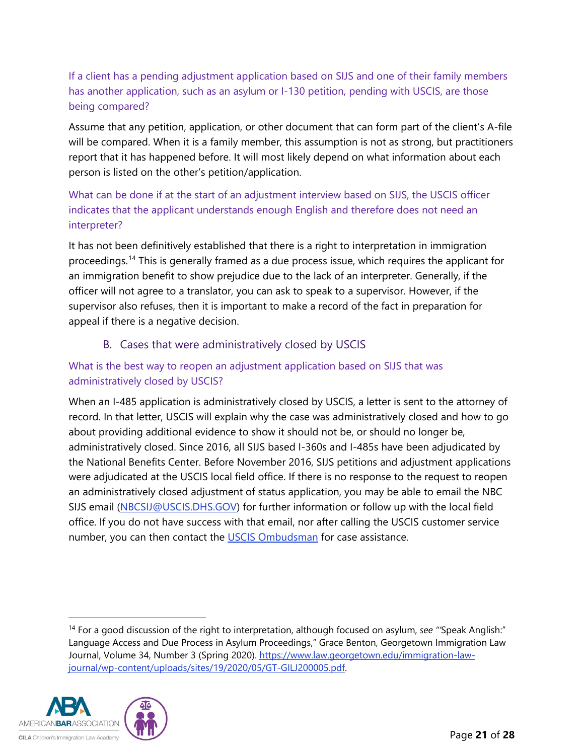If a client has a pending adjustment application based on SIJS and one of their family members has another application, such as an asylum or I-130 petition, pending with USCIS, are those being compared?

Assume that any petition, application, or other document that can form part of the client's A-file will be compared. When it is a family member, this assumption is not as strong, but practitioners report that it has happened before. It will most likely depend on what information about each person is listed on the other's petition/application.

# What can be done if at the start of an adjustment interview based on SIJS, the USCIS officer indicates that the applicant understands enough English and therefore does not need an interpreter?

It has not been definitively established that there is a right to interpretation in immigration proceedings.<sup>[14](#page-20-1)</sup> This is generally framed as a due process issue, which requires the applicant for an immigration benefit to show prejudice due to the lack of an interpreter. Generally, if the officer will not agree to a translator, you can ask to speak to a supervisor. However, if the supervisor also refuses, then it is important to make a record of the fact in preparation for appeal if there is a negative decision.

# B. Cases that were administratively closed by USCIS

### <span id="page-20-0"></span>What is the best way to reopen an adjustment application based on SIJS that was administratively closed by USCIS?

When an I-485 application is administratively closed by USCIS, a letter is sent to the attorney of record. In that letter, USCIS will explain why the case was administratively closed and how to go about providing additional evidence to show it should not be, or should no longer be, administratively closed. Since 2016, all SIJS based I-360s and I-485s have been adjudicated by the National Benefits Center. Before November 2016, SIJS petitions and adjustment applications were adjudicated at the USCIS local field office. If there is no response to the request to reopen an administratively closed adjustment of status application, you may be able to email the NBC SIJS email [\(NBCSIJ@USCIS.DHS.GOV\)](mailto:NBCSIJ@USCIS.DHS.GOV) for further information or follow up with the local field office. If you do not have success with that email, nor after calling the USCIS customer service number, you can then contact the [USCIS Ombudsman](https://www.dhs.gov/case-assistance) for case assistance.

<span id="page-20-1"></span><sup>14</sup> For a good discussion of the right to interpretation, although focused on asylum, *see "'*Speak Anglish:" Language Access and Due Process in Asylum Proceedings," Grace Benton, Georgetown Immigration Law Journal, Volume 34, Number 3 (Spring 2020). [https://www.law.georgetown.edu/immigration-law](https://www.law.georgetown.edu/immigration-law-journal/wp-content/uploads/sites/19/2020/05/GT-GILJ200005.pdf)[journal/wp-content/uploads/sites/19/2020/05/GT-GILJ200005.pdf.](https://www.law.georgetown.edu/immigration-law-journal/wp-content/uploads/sites/19/2020/05/GT-GILJ200005.pdf)

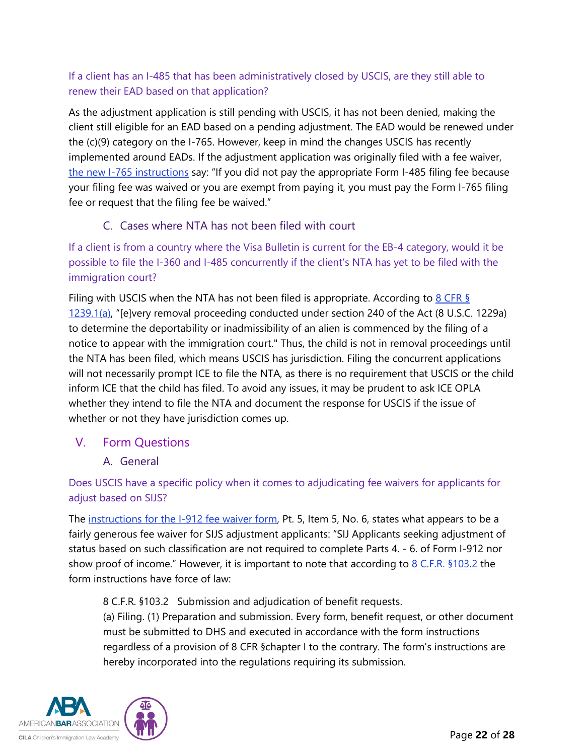# If a client has an I-485 that has been administratively closed by USCIS, are they still able to renew their EAD based on that application?

As the adjustment application is still pending with USCIS, it has not been denied, making the client still eligible for an EAD based on a pending adjustment. The EAD would be renewed under the (c)(9) category on the I-765. However, keep in mind the changes USCIS has recently implemented around EADs. If the adjustment application was originally filed with a fee waiver, [the new I-765 instructions](https://www.uscis.gov/sites/default/files/document/forms/i-765instr.pdf) say: "If you did not pay the appropriate Form I-485 filing fee because your filing fee was waived or you are exempt from paying it, you must pay the Form I-765 filing fee or request that the filing fee be waived."

# C. Cases where NTA has not been filed with court

<span id="page-21-0"></span>If a client is from a country where the Visa Bulletin is current for the EB-4 category, would it be possible to file the I-360 and I-485 concurrently if the client's NTA has yet to be filed with the immigration court?

Filing with USCIS when the NTA has not been filed is appropriate. According to  $8$  CFR § [1239.1\(a\),](https://www.ecfr.gov/cgi-bin/text-idx?SID=52fe3fdc9c9c6d233efc54bafb5ce3d8&mc=true&node=se8.1.1239_11&rgn=div8) "[e]very removal proceeding conducted under section 240 of the Act (8 U.S.C. 1229a) to determine the deportability or inadmissibility of an alien is commenced by the filing of a notice to appear with the immigration court." Thus, the child is not in removal proceedings until the NTA has been filed, which means USCIS has jurisdiction. Filing the concurrent applications will not necessarily prompt ICE to file the NTA, as there is no requirement that USCIS or the child inform ICE that the child has filed. To avoid any issues, it may be prudent to ask ICE OPLA whether they intend to file the NTA and document the response for USCIS if the issue of whether or not they have jurisdiction comes up.

### <span id="page-21-2"></span><span id="page-21-1"></span>V. Form Questions

A. General

Does USCIS have a specific policy when it comes to adjudicating fee waivers for applicants for adjust based on SIJS?

The [instructions for the I-912 fee waiver form,](https://www.uscis.gov/sites/default/files/document/forms/i-912instr.pdf) Pt. 5, Item 5, No. 6, states what appears to be a fairly generous fee waiver for SIJS adjustment applicants: "SIJ Applicants seeking adjustment of status based on such classification are not required to complete Parts 4. - 6. of Form I-912 nor show proof of income." However, it is important to note that according to  $8$  C.F.R.  $$103.2$  the form instructions have force of law:

8 C.F.R. §103.2 Submission and adjudication of benefit requests.

(a) Filing. (1) Preparation and submission. Every form, benefit request, or other document must be submitted to DHS and executed in accordance with the form instructions regardless of a provision of 8 CFR §chapter I to the contrary. The form's instructions are hereby incorporated into the regulations requiring its submission.

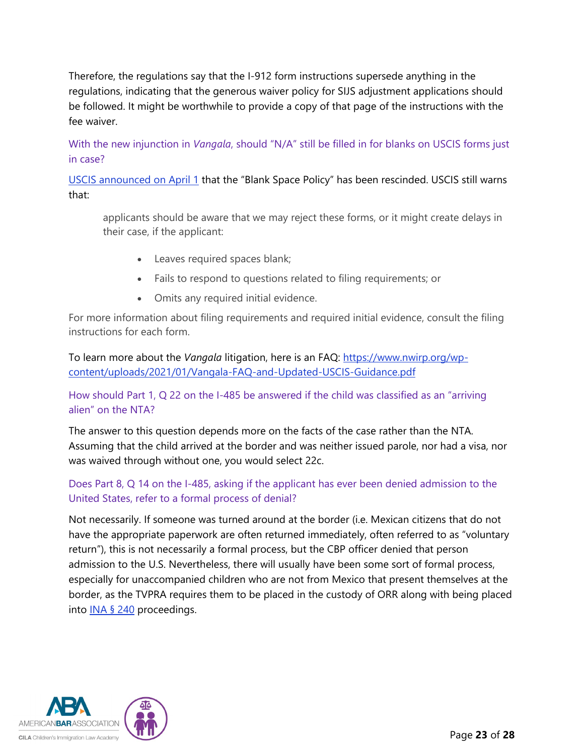Therefore, the regulations say that the I-912 form instructions supersede anything in the regulations, indicating that the generous waiver policy for SIJS adjustment applications should be followed. It might be worthwhile to provide a copy of that page of the instructions with the fee waiver.

With the new injunction in *Vangala*, should "N/A" still be filled in for blanks on USCIS forms just in case?

[USCIS announced on April 1](https://www.uscis.gov/news/alerts/uscis-confirms-elimination-of-blank-space-criteria) that the "Blank Space Policy" has been rescinded. USCIS still warns that:

applicants should be aware that we may reject these forms, or it might create delays in their case, if the applicant:

- Leaves required spaces blank;
- Fails to respond to questions related to filing requirements; or
- Omits any required initial evidence.

For more information about filing requirements and required initial evidence, consult the filing instructions for each form.

To learn more about the *Vangala* litigation, here is an FAQ: [https://www.nwirp.org/wp](https://www.nwirp.org/wp-content/uploads/2021/01/Vangala-FAQ-and-Updated-USCIS-Guidance.pdf)[content/uploads/2021/01/Vangala-FAQ-and-Updated-USCIS-Guidance.pdf](https://www.nwirp.org/wp-content/uploads/2021/01/Vangala-FAQ-and-Updated-USCIS-Guidance.pdf)

#### How should Part 1, Q 22 on the I-485 be answered if the child was classified as an "arriving alien" on the NTA?

The answer to this question depends more on the facts of the case rather than the NTA. Assuming that the child arrived at the border and was neither issued parole, nor had a visa, nor was waived through without one, you would select 22c.

### Does Part 8, Q 14 on the I-485, asking if the applicant has ever been denied admission to the United States, refer to a formal process of denial?

Not necessarily. If someone was turned around at the border (i.e. Mexican citizens that do not have the appropriate paperwork are often returned immediately, often referred to as "voluntary return"), this is not necessarily a formal process, but the CBP officer denied that person admission to the U.S. Nevertheless, there will usually have been some sort of formal process, especially for unaccompanied children who are not from Mexico that present themselves at the border, as the TVPRA requires them to be placed in the custody of ORR along with being placed into **INA § 240** proceedings.

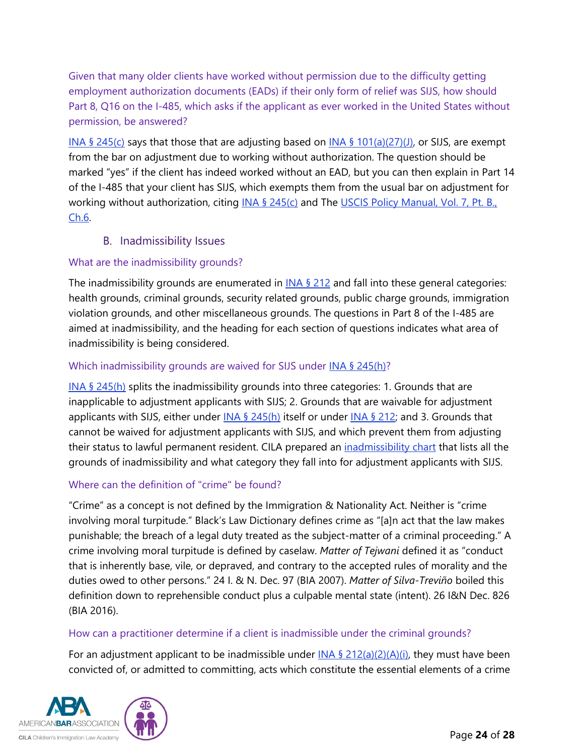Given that many older clients have worked without permission due to the difficulty getting employment authorization documents (EADs) if their only form of relief was SIJS, how should Part 8, Q16 on the I-485, which asks if the applicant as ever worked in the United States without permission, be answered?

INA § [245\(c\)](https://uscode.house.gov/view.xhtml?req=granuleid:USC-prelim-title8-section1255&num=0&edition=prelim) says that those that are adjusting based on INA § [101\(a\)\(27\)\(J\),](https://uscode.house.gov/view.xhtml?req=granuleid:USC-prelim-title8-section1101&num=0&edition=prelim) or SIJS, are exempt from the bar on adjustment due to working without authorization. The question should be marked "yes" if the client has indeed worked without an EAD, but you can then explain in Part 14 of the I-485 that your client has SIJS, which exempts them from the usual bar on adjustment for working without authorization, citing  $INA \$ § [245\(c\)](https://uscode.house.gov/view.xhtml?req=granuleid:USC-prelim-title8-section1255&num=0&edition=prelim) and The USCIS Policy Manual, Vol. 7, Pt. B., [Ch.6.](https://www.uscis.gov/policy-manual/volume-7-part-b-chapter-6)

### B. Inadmissibility Issues

### <span id="page-23-0"></span>What are the inadmissibility grounds?

The inadmissibility grounds are enumerated in  $INA \$  212 and fall into these general categories: health grounds, criminal grounds, security related grounds, public charge grounds, immigration violation grounds, and other miscellaneous grounds. The questions in Part 8 of the I-485 are aimed at inadmissibility, and the heading for each section of questions indicates what area of inadmissibility is being considered.

### Which inadmissibility grounds are waived for SIJS under [INA § 245\(h\)?](https://uscode.house.gov/view.xhtml?req=granuleid:USC-prelim-title8-section1255&num=0&edition=prelim)

[INA § 245\(h\)](https://uscode.house.gov/view.xhtml?req=granuleid:USC-prelim-title8-section1255&num=0&edition=prelim) splits the inadmissibility grounds into three categories: 1. Grounds that are inapplicable to adjustment applicants with SIJS; 2. Grounds that are waivable for adjustment applicants with SIJS, either under  $INA \$   $245(h)$  itself or under  $INA \$   $212$ ; and 3. Grounds that cannot be waived for adjustment applicants with SIJS, and which prevent them from adjusting their status to lawful permanent resident. CILA prepared an [inadmissibility chart](https://cilacademy.org/wp-content/uploads/2021/02/CILA-SIJS-Adjustment-of-Status-Inadmissibility-Chart.pdf) that lists all the grounds of inadmissibility and what category they fall into for adjustment applicants with SIJS.

### Where can the definition of "crime" be found?

"Crime" as a concept is not defined by the Immigration & Nationality Act. Neither is "crime involving moral turpitude." Black's Law Dictionary defines crime as "[a]n act that the law makes punishable; the breach of a legal duty treated as the subject-matter of a criminal proceeding." A crime involving moral turpitude is defined by caselaw. *Matter of Tejwani* defined it as "conduct that is inherently base, vile, or depraved, and contrary to the accepted rules of morality and the duties owed to other persons." 24 I. & N. Dec. 97 (BIA 2007). *Matter of Silva-Treviño* boiled this definition down to reprehensible conduct plus a culpable mental state (intent). 26 I&N Dec. 826 (BIA 2016).

#### How can a practitioner determine if a client is inadmissible under the criminal grounds?

For an adjustment applicant to be inadmissible under  $INA \frac{6}{2}$  [212\(a\)\(2\)\(A\)\(i\),](https://uscode.house.gov/view.xhtml?req=granuleid:USC-prelim-title8-section1182&num=0&edition=prelim) they must have been convicted of, or admitted to committing, acts which constitute the essential elements of a crime

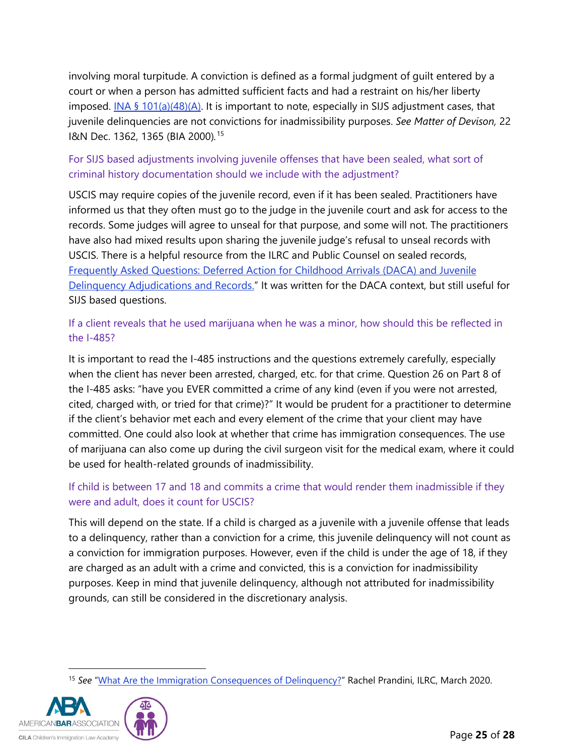involving moral turpitude. A conviction is defined as a formal judgment of guilt entered by a court or when a person has admitted sufficient facts and had a restraint on his/her liberty imposed. INA § [101\(a\)\(48\)\(A\).](https://uscode.house.gov/view.xhtml?req=granuleid:USC-prelim-title8-section1101&num=0&edition=prelim) It is important to note, especially in SIJS adjustment cases, that juvenile delinquencies are not convictions for inadmissibility purposes. *See Matter of Devison,* 22 I&N Dec. 1362, 1365 (BIA 2000)*.* [15](#page-24-0)

### For SIJS based adjustments involving juvenile offenses that have been sealed, what sort of criminal history documentation should we include with the adjustment?

USCIS may require copies of the juvenile record, even if it has been sealed. Practitioners have informed us that they often must go to the judge in the juvenile court and ask for access to the records. Some judges will agree to unseal for that purpose, and some will not. The practitioners have also had mixed results upon sharing the juvenile judge's refusal to unseal records with USCIS. There is a helpful resource from the ILRC and Public Counsel on sealed records, [Frequently Asked Questions: Deferred Action for Childhood Arrivals \(DACA\) and Juvenile](https://www.ilrc.org/sites/default/files/documents/ilrc-faq-daca_juv_del_adjud_records-2013-04_15.pdf)  [Delinquency Adjudications and Records."](https://www.ilrc.org/sites/default/files/documents/ilrc-faq-daca_juv_del_adjud_records-2013-04_15.pdf) It was written for the DACA context, but still useful for SIJS based questions.

### If a client reveals that he used marijuana when he was a minor, how should this be reflected in the I-485?

It is important to read the I-485 instructions and the questions extremely carefully, especially when the client has never been arrested, charged, etc. for that crime. Question 26 on Part 8 of the I-485 asks: "have you EVER committed a crime of any kind (even if you were not arrested, cited, charged with, or tried for that crime)?" It would be prudent for a practitioner to determine if the client's behavior met each and every element of the crime that your client may have committed. One could also look at whether that crime has immigration consequences. The use of marijuana can also come up during the civil surgeon visit for the medical exam, where it could be used for health-related grounds of inadmissibility.

### If child is between 17 and 18 and commits a crime that would render them inadmissible if they were and adult, does it count for USCIS?

This will depend on the state. If a child is charged as a juvenile with a juvenile offense that leads to a delinquency, rather than a conviction for a crime, this juvenile delinquency will not count as a conviction for immigration purposes. However, even if the child is under the age of 18, if they are charged as an adult with a crime and convicted, this is a conviction for inadmissibility purposes. Keep in mind that juvenile delinquency, although not attributed for inadmissibility grounds, can still be considered in the discretionary analysis.

<span id="page-24-0"></span><sup>&</sup>lt;sup>15</sup> See ["What Are the Immigration Consequences of Delinquency?"](https://www.ilrc.org/what-are-immigration-consequences-delinquency) Rachel Prandini, ILRC, March 2020.

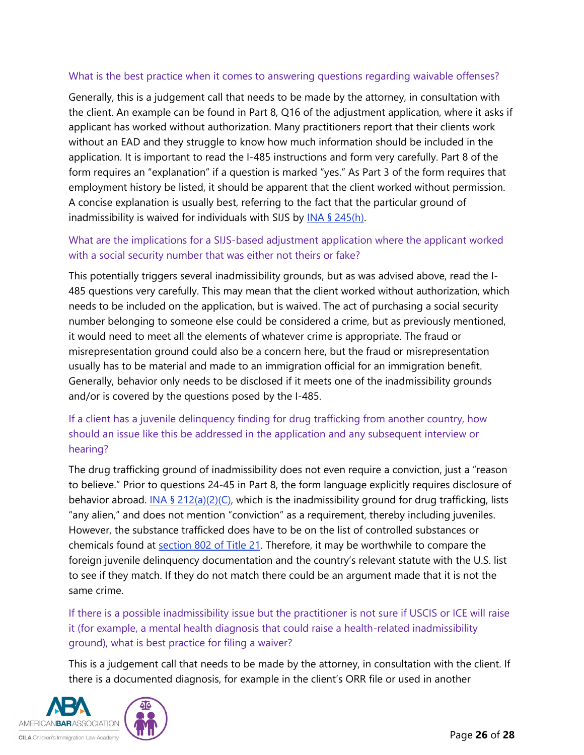#### What is the best practice when it comes to answering questions regarding waivable offenses?

Generally, this is a judgement call that needs to be made by the attorney, in consultation with the client. An example can be found in Part 8, Q16 of the adjustment application, where it asks if applicant has worked without authorization. Many practitioners report that their clients work without an EAD and they struggle to know how much information should be included in the application. It is important to read the I-485 instructions and form very carefully. Part 8 of the form requires an "explanation" if a question is marked "yes." As Part 3 of the form requires that employment history be listed, it should be apparent that the client worked without permission. A concise explanation is usually best, referring to the fact that the particular ground of inadmissibility is waived for individuals with SIJS by  $INA \$   $245(h)$ .

#### What are the implications for a SIJS-based adjustment application where the applicant worked with a social security number that was either not theirs or fake?

This potentially triggers several inadmissibility grounds, but as was advised above, read the I-485 questions very carefully. This may mean that the client worked without authorization, which needs to be included on the application, but is waived. The act of purchasing a social security number belonging to someone else could be considered a crime, but as previously mentioned, it would need to meet all the elements of whatever crime is appropriate. The fraud or misrepresentation ground could also be a concern here, but the fraud or misrepresentation usually has to be material and made to an immigration official for an immigration benefit. Generally, behavior only needs to be disclosed if it meets one of the inadmissibility grounds and/or is covered by the questions posed by the I-485.

### If a client has a juvenile delinquency finding for drug trafficking from another country, how should an issue like this be addressed in the application and any subsequent interview or hearing?

The drug trafficking ground of inadmissibility does not even require a conviction, just a "reason to believe." Prior to questions 24-45 in Part 8, the form language explicitly requires disclosure of behavior abroad. INA § [212\(a\)\(2\)\(C\),](https://uscode.house.gov/view.xhtml?req=granuleid:USC-prelim-title8-section1182&num=0&edition=prelim) which is the inadmissibility ground for drug trafficking, lists "any alien," and does not mention "conviction" as a requirement, thereby including juveniles. However, the substance trafficked does have to be on the list of controlled substances or chemicals found at [section 802 of Title 21.](https://www.deadiversion.usdoj.gov/21cfr/21usc/802.htm) Therefore, it may be worthwhile to compare the foreign juvenile delinquency documentation and the country's relevant statute with the U.S. list to see if they match. If they do not match there could be an argument made that it is not the same crime.

If there is a possible inadmissibility issue but the practitioner is not sure if USCIS or ICE will raise it (for example, a mental health diagnosis that could raise a health-related inadmissibility ground), what is best practice for filing a waiver?

This is a judgement call that needs to be made by the attorney, in consultation with the client. If there is a documented diagnosis, for example in the client's ORR file or used in another

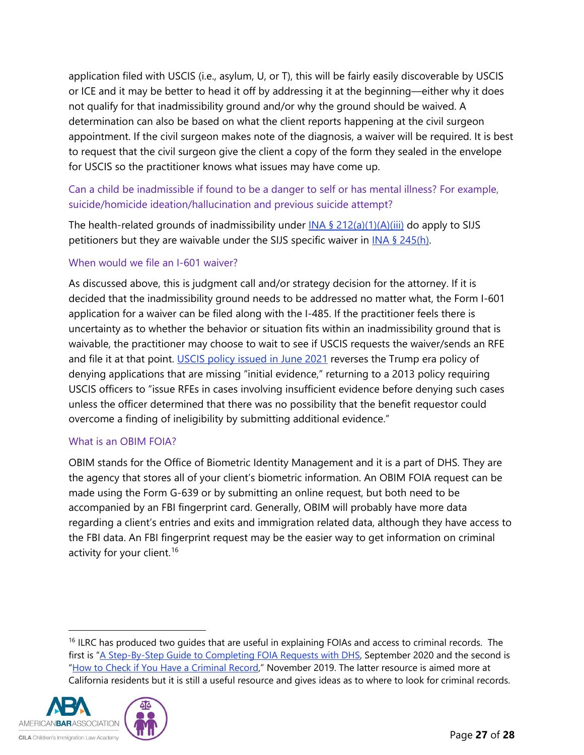application filed with USCIS (i.e., asylum, U, or T), this will be fairly easily discoverable by USCIS or ICE and it may be better to head it off by addressing it at the beginning—either why it does not qualify for that inadmissibility ground and/or why the ground should be waived. A determination can also be based on what the client reports happening at the civil surgeon appointment. If the civil surgeon makes note of the diagnosis, a waiver will be required. It is best to request that the civil surgeon give the client a copy of the form they sealed in the envelope for USCIS so the practitioner knows what issues may have come up.

### Can a child be inadmissible if found to be a danger to self or has mental illness? For example, suicide/homicide ideation/hallucination and previous suicide attempt?

The health-related grounds of inadmissibility under  $INA \frac{6}{2}$  [212\(a\)\(1\)\(A\)\(iii\)](https://uscode.house.gov/view.xhtml?req=granuleid:USC-prelim-title8-section1182&num=0&edition=prelim) do apply to SIJS petitioners but they are waivable under the SIJS specific waiver in [INA § 245\(h\).](https://uscode.house.gov/view.xhtml?req=granuleid:USC-prelim-title8-section1255&num=0&edition=prelim)

#### When would we file an I-601 waiver?

As discussed above, this is judgment call and/or strategy decision for the attorney. If it is decided that the inadmissibility ground needs to be addressed no matter what, the Form I-601 application for a waiver can be filed along with the I-485. If the practitioner feels there is uncertainty as to whether the behavior or situation fits within an inadmissibility ground that is waivable, the practitioner may choose to wait to see if USCIS requests the waiver/sends an RFE and file it at that point. [USCIS policy issued in June 2021](https://www.uscis.gov/sites/default/files/document/policy-manual-updates/20210609-RFEs%26NOIDs.pdf) reverses the Trump era policy of denying applications that are missing "initial evidence," returning to a 2013 policy requiring USCIS officers to "issue RFEs in cases involving insufficient evidence before denying such cases unless the officer determined that there was no possibility that the benefit requestor could overcome a finding of ineligibility by submitting additional evidence."

#### What is an OBIM FOIA?

OBIM stands for the Office of Biometric Identity Management and it is a part of DHS. They are the agency that stores all of your client's biometric information. An OBIM FOIA request can be made using the Form G-639 or by submitting an online request, but both need to be accompanied by an FBI fingerprint card. Generally, OBIM will probably have more data regarding a client's entries and exits and immigration related data, although they have access to the FBI data. An FBI fingerprint request may be the easier way to get information on criminal activity for your client.<sup>[16](#page-26-0)</sup>

<span id="page-26-0"></span><sup>&</sup>lt;sup>16</sup> ILRC has produced two quides that are useful in explaining FOIAs and access to criminal records. The first is ["A Step-By-Step Guide to Completing](https://www.ilrc.org/step-step-guide-completing-foia-requests-dhs) FOIA Requests with DHS, September 2020 and the second is ["How to Check if You Have a Criminal Record,](https://www.ilrc.org/sites/default/files/resources/practice_advisory_-_background_checks_final.pdf)" November 2019. The latter resource is aimed more at California residents but it is still a useful resource and gives ideas as to where to look for criminal records.